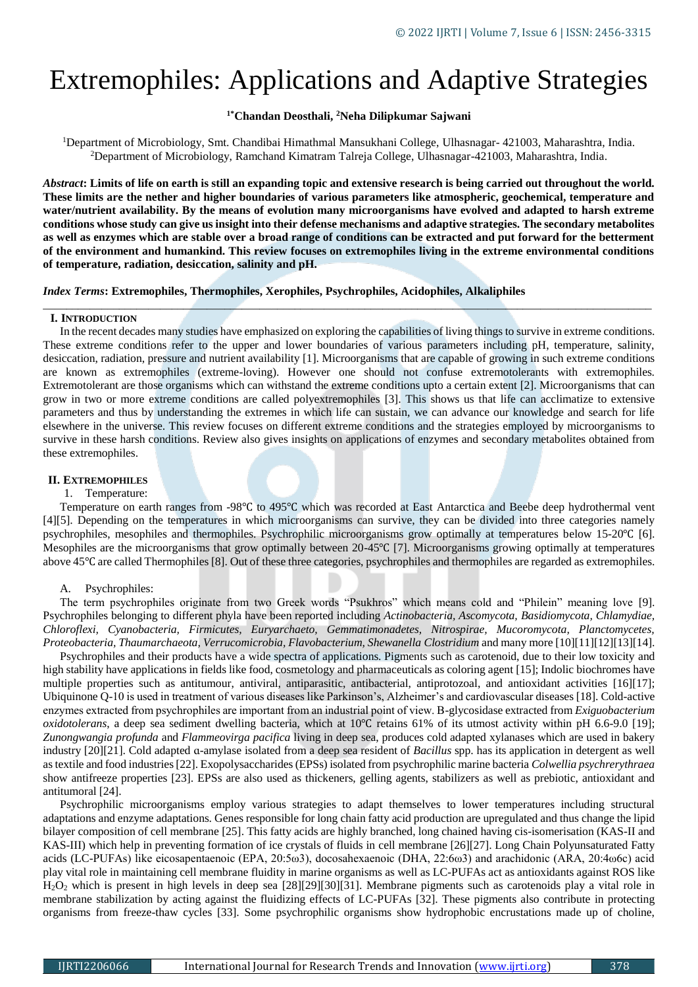# Extremophiles: Applications and Adaptive Strategies

# **1\*Chandan Deosthali, <sup>2</sup>Neha Dilipkumar Sajwani**

<sup>1</sup>Department of Microbiology, Smt. Chandibai Himathmal Mansukhani College, Ulhasnagar- 421003, Maharashtra, India. <sup>2</sup>Department of Microbiology, Ramchand Kimatram Talreja College, Ulhasnagar-421003, Maharashtra, India.

*Abstract***: Limits of life on earth is still an expanding topic and extensive research is being carried out throughout the world. These limits are the nether and higher boundaries of various parameters like atmospheric, geochemical, temperature and water/nutrient availability. By the means of evolution many microorganisms have evolved and adapted to harsh extreme conditions whose study can give us insight into their defense mechanisms and adaptive strategies. The secondary metabolites as well as enzymes which are stable over a broad range of conditions can be extracted and put forward for the betterment of the environment and humankind. This review focuses on extremophiles living in the extreme environmental conditions of temperature, radiation, desiccation, salinity and pH.**

*\_\_\_\_\_\_\_\_\_\_\_\_\_\_\_\_\_\_\_\_\_\_\_\_\_\_\_\_\_\_\_\_\_\_\_\_\_\_\_\_\_\_\_\_\_\_\_\_\_\_\_\_\_\_\_\_\_\_\_\_\_\_\_\_\_\_\_\_\_\_\_\_\_\_\_\_\_\_\_\_\_\_\_\_\_\_\_\_\_\_\_\_\_\_\_\_\_\_\_\_\_\_\_\_*

*Index Terms***: Extremophiles, Thermophiles, Xerophiles, Psychrophiles, Acidophiles, Alkaliphiles**

## **I. INTRODUCTION**

In the recent decades many studies have emphasized on exploring the capabilities of living things to survive in extreme conditions. These extreme conditions refer to the upper and lower boundaries of various parameters including pH, temperature, salinity, desiccation, radiation, pressure and nutrient availability [1]. Microorganisms that are capable of growing in such extreme conditions are known as extremophiles (extreme-loving). However one should not confuse extremotolerants with extremophiles. Extremotolerant are those organisms which can withstand the extreme conditions upto a certain extent [2]. Microorganisms that can grow in two or more extreme conditions are called polyextremophiles [3]. This shows us that life can acclimatize to extensive parameters and thus by understanding the extremes in which life can sustain, we can advance our knowledge and search for life elsewhere in the universe. This review focuses on different extreme conditions and the strategies employed by microorganisms to survive in these harsh conditions. Review also gives insights on applications of enzymes and secondary metabolites obtained from these extremophiles.

# **II. EXTREMOPHILES**

#### 1. Temperature:

Temperature on earth ranges from -98℃ to 495℃ which was recorded at East Antarctica and Beebe deep hydrothermal vent [4][5]. Depending on the temperatures in which microorganisms can survive, they can be divided into three categories namely psychrophiles, mesophiles and thermophiles. Psychrophilic microorganisms grow optimally at temperatures below 15-20℃ [6]. Mesophiles are the microorganisms that grow optimally between 20-45°C [7]. Microorganisms growing optimally at temperatures above 45℃ are called Thermophiles [8]. Out of these three categories, psychrophiles and thermophiles are regarded as extremophiles.

## A. Psychrophiles:

The term psychrophiles originate from two Greek words "Psukhros" which means cold and "Philein" meaning love [9]. Psychrophiles belonging to different phyla have been reported including *Actinobacteria, Ascomycota, Basidiomycota, Chlamydiae, Chloroflexi, Cyanobacteria, Firmicutes, Euryarchaeto, Gemmatimonadetes, Nitrospirae, Mucoromycota, Planctomycetes, Proteobacteria, Thaumarchaeota, Verrucomicrobia, Flavobacterium, Shewanella Clostridium* and many more [10][11][12][13][14].

Psychrophiles and their products have a wide spectra of applications. Pigments such as carotenoid, due to their low toxicity and high stability have applications in fields like food, cosmetology and pharmaceuticals as coloring agent [15]; Indolic biochromes have multiple properties such as antitumour, antiviral, antiparasitic, antibacterial, antiprotozoal, and antioxidant activities [16][17]; Ubiquinone Q-10 is used in treatment of various diseases like Parkinson's, Alzheimer's and cardiovascular diseases [18]. Cold-active enzymes extracted from psychrophiles are important from an industrial point of view. Β-glycosidase extracted from *Exiguobacterium oxidotolerans*, a deep sea sediment dwelling bacteria, which at 10℃ retains 61% of its utmost activity within pH 6.6-9.0 [19]; *Zunongwangia profunda* and *Flammeovirga pacifica* living in deep sea, produces cold adapted xylanases which are used in bakery industry [20][21]. Cold adapted ɑ-amylase isolated from a deep sea resident of *Bacillus* spp. has its application in detergent as well as textile and food industries [22]. Exopolysaccharides (EPSs) isolated from psychrophilic marine bacteria *Colwellia psychrerythraea* show antifreeze properties [23]. EPSs are also used as thickeners, gelling agents, stabilizers as well as prebiotic, antioxidant and antitumoral [24].

Psychrophilic microorganisms employ various strategies to adapt themselves to lower temperatures including structural adaptations and enzyme adaptations. Genes responsible for long chain fatty acid production are upregulated and thus change the lipid bilayer composition of cell membrane [25]. This fatty acids are highly branched, long chained having cis-isomerisation (KAS-II and KAS-III) which help in preventing formation of ice crystals of fluids in cell membrane [26][27]. Long Chain Polyunsaturated Fatty acids (LC-PUFAs) like eicosapentaenoic (EPA, 20:5ω3), docosahexaenoic (DHA, 22:6ω3) and arachidonic (ARA, 20:4ω6c) acid play vital role in maintaining cell membrane fluidity in marine organisms as well as LC-PUFAs act as antioxidants against ROS like H2O<sup>2</sup> which is present in high levels in deep sea [28][29][30][31]. Membrane pigments such as carotenoids play a vital role in membrane stabilization by acting against the fluidizing effects of LC-PUFAs [32]. These pigments also contribute in protecting organisms from freeze-thaw cycles [33]. Some psychrophilic organisms show hydrophobic encrustations made up of choline,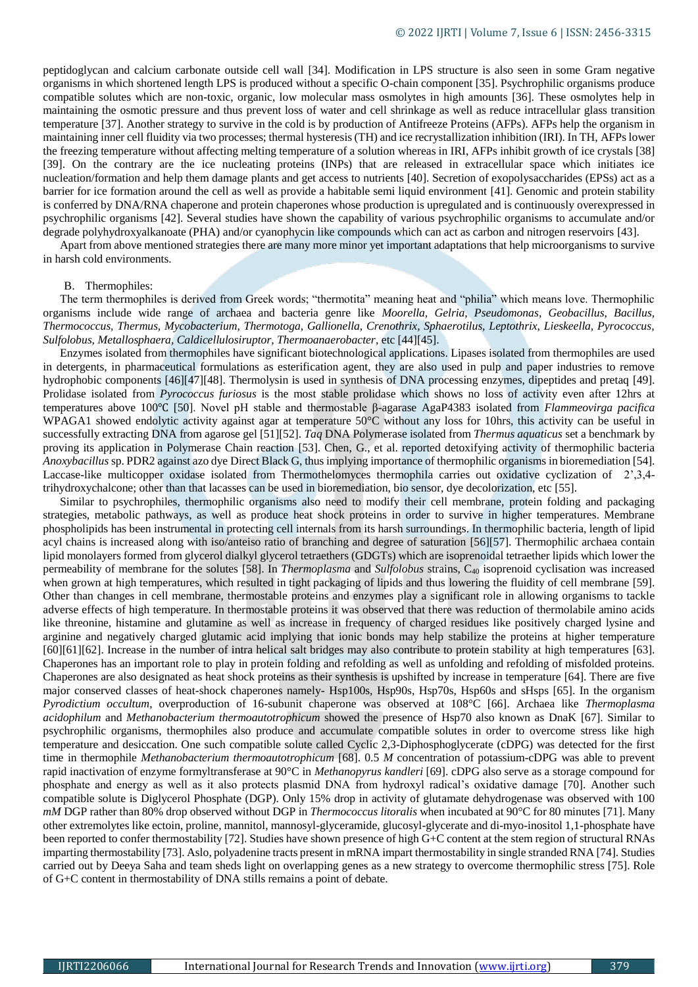peptidoglycan and calcium carbonate outside cell wall [34]. Modification in LPS structure is also seen in some Gram negative organisms in which shortened length LPS is produced without a specific O-chain component [35]. Psychrophilic organisms produce compatible solutes which are non-toxic, organic, low molecular mass osmolytes in high amounts [36]. These osmolytes help in maintaining the osmotic pressure and thus prevent loss of water and cell shrinkage as well as reduce intracellular glass transition temperature [37]. Another strategy to survive in the cold is by production of Antifreeze Proteins (AFPs). AFPs help the organism in maintaining inner cell fluidity via two processes; thermal hysteresis (TH) and ice recrystallization inhibition (IRI). In TH, AFPs lower the freezing temperature without affecting melting temperature of a solution whereas in IRI, AFPs inhibit growth of ice crystals [38] [39]. On the contrary are the ice nucleating proteins (INPs) that are released in extracellular space which initiates ice nucleation/formation and help them damage plants and get access to nutrients [40]. Secretion of exopolysaccharides (EPSs) act as a barrier for ice formation around the cell as well as provide a habitable semi liquid environment [41]. Genomic and protein stability is conferred by DNA/RNA chaperone and protein chaperones whose production is upregulated and is continuously overexpressed in psychrophilic organisms [42]. Several studies have shown the capability of various psychrophilic organisms to accumulate and/or degrade polyhydroxyalkanoate (PHA) and/or cyanophycin like compounds which can act as carbon and nitrogen reservoirs [43].

Apart from above mentioned strategies there are many more minor yet important adaptations that help microorganisms to survive in harsh cold environments.

#### B. Thermophiles:

The term thermophiles is derived from Greek words; "thermotita" meaning heat and "philia" which means love. Thermophilic organisms include wide range of archaea and bacteria genre like *Moorella, Gelria, Pseudomonas, Geobacillus, Bacillus, Thermococcus, Thermus, Mycobacterium, Thermotoga, Gallionella, Crenothrix, Sphaerotilus, Leptothrix, Lieskeella, Pyrococcus, Sulfolobus, Metallosphaera, Caldicellulosiruptor, Thermoanaerobacter*, etc [44][45].

Enzymes isolated from thermophiles have significant biotechnological applications. Lipases isolated from thermophiles are used in detergents, in pharmaceutical formulations as esterification agent, they are also used in pulp and paper industries to remove hydrophobic components [46][47][48]. Thermolysin is used in synthesis of DNA processing enzymes, dipeptides and pretaq [49]. Prolidase isolated from *Pyrococcus furiosus* is the most stable prolidase which shows no loss of activity even after 12hrs at temperatures above 100℃ [50]. Novel pH stable and thermostable β-agarase AgaP4383 isolated from *Flammeovirga pacifica* WPAGA1 showed endolytic activity against agar at temperature 50°C without any loss for 10hrs, this activity can be useful in successfully extracting DNA from agarose gel [51][52]. *Taq* DNA Polymerase isolated from *Thermus aquaticus* set a benchmark by proving its application in Polymerase Chain reaction [53]. Chen, G., et al. reported detoxifying activity of thermophilic bacteria *Anoxybacillus* sp. PDR2 against azo dye Direct Black G, thus implying importance of thermophilic organisms in bioremediation [54]. Laccase-like multicopper oxidase isolated from Thermothelomyces thermophila carries out oxidative cyclization of 2',3,4 trihydroxychalcone; other than that lacasses can be used in bioremediation, bio sensor, dye decolorization, etc [55].

Similar to psychrophiles, thermophilic organisms also need to modify their cell membrane, protein folding and packaging strategies, metabolic pathways, as well as produce heat shock proteins in order to survive in higher temperatures. Membrane phospholipids has been instrumental in protecting cell internals from its harsh surroundings. In thermophilic bacteria, length of lipid acyl chains is increased along with iso/anteiso ratio of branching and degree of saturation [56][57]. Thermophilic archaea contain lipid monolayers formed from glycerol dialkyl glycerol tetraethers (GDGTs) which are isoprenoidal tetraether lipids which lower the permeability of membrane for the solutes [58]. In *Thermoplasma* and *Sulfolobus* strains, C<sup>40</sup> isoprenoid cyclisation was increased when grown at high temperatures, which resulted in tight packaging of lipids and thus lowering the fluidity of cell membrane [59]. Other than changes in cell membrane, thermostable proteins and enzymes play a significant role in allowing organisms to tackle adverse effects of high temperature. In thermostable proteins it was observed that there was reduction of thermolabile amino acids like threonine, histamine and glutamine as well as increase in frequency of charged residues like positively charged lysine and arginine and negatively charged glutamic acid implying that ionic bonds may help stabilize the proteins at higher temperature [60][61][62]. Increase in the number of intra helical salt bridges may also contribute to protein stability at high temperatures [63]. Chaperones has an important role to play in protein folding and refolding as well as unfolding and refolding of misfolded proteins. Chaperones are also designated as heat shock proteins as their synthesis is upshifted by increase in temperature [64]. There are five major conserved classes of heat-shock chaperones namely- Hsp100s, Hsp90s, Hsp70s, Hsp60s and sHsps [65]. In the organism *Pyrodictium occultum*, overproduction of 16-subunit chaperone was observed at 108°C [66]. Archaea like *Thermoplasma acidophilum* and *Methanobacterium thermoautotrophicum* showed the presence of Hsp70 also known as DnaK [67]. Similar to psychrophilic organisms, thermophiles also produce and accumulate compatible solutes in order to overcome stress like high temperature and desiccation. One such compatible solute called Cyclic 2,3-Diphosphoglycerate (cDPG) was detected for the first time in thermophile *Methanobacterium thermoautotrophicum* [68]. 0.5 *M* concentration of potassium-cDPG was able to prevent rapid inactivation of enzyme formyltransferase at 90°C in *Methanopyrus kandleri* [69]. cDPG also serve as a storage compound for phosphate and energy as well as it also protects plasmid DNA from hydroxyl radical's oxidative damage [70]. Another such compatible solute is Diglycerol Phosphate (DGP). Only 15% drop in activity of glutamate dehydrogenase was observed with 100 *mM* DGP rather than 80% drop observed without DGP in *Thermococcus litoralis* when incubated at 90°C for 80 minutes [71]. Many other extremolytes like ectoin, proline, mannitol, mannosyl-glyceramide, glucosyl-glycerate and di-myo-inositol 1,1-phosphate have been reported to confer thermostability [72]. Studies have shown presence of high G+C content at the stem region of structural RNAs imparting thermostability [73]. Aslo, polyadenine tracts present in mRNA impart thermostability in single stranded RNA [74]. Studies carried out by Deeya Saha and team sheds light on overlapping genes as a new strategy to overcome thermophilic stress [75]. Role of G+C content in thermostability of DNA stills remains a point of debate.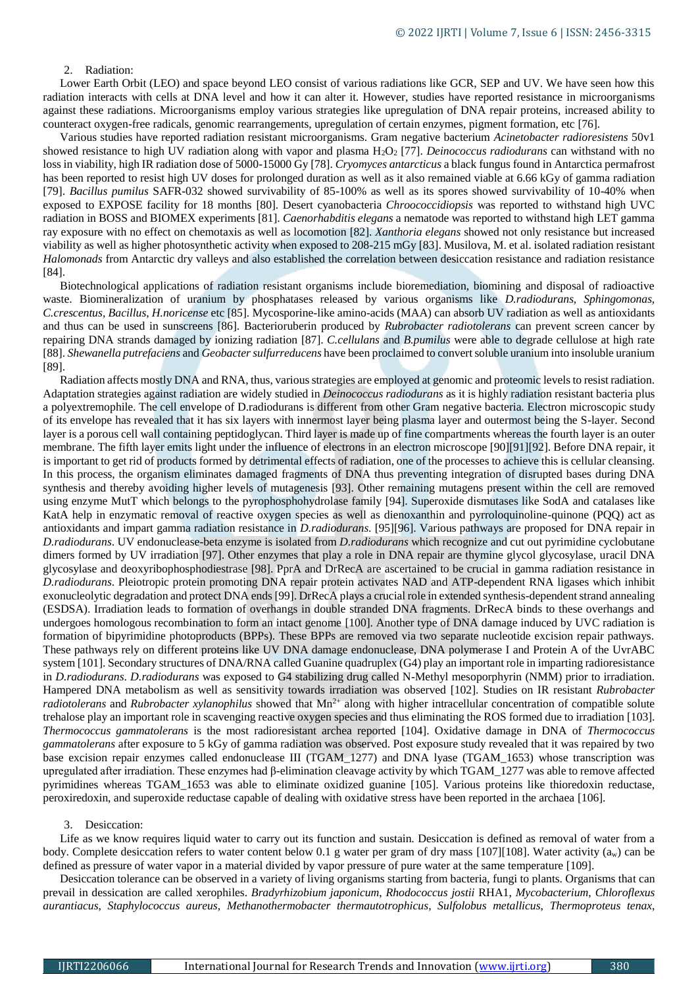## 2. Radiation:

Lower Earth Orbit (LEO) and space beyond LEO consist of various radiations like GCR, SEP and UV. We have seen how this radiation interacts with cells at DNA level and how it can alter it. However, studies have reported resistance in microorganisms against these radiations. Microorganisms employ various strategies like upregulation of DNA repair proteins, increased ability to counteract oxygen-free radicals, genomic rearrangements, upregulation of certain enzymes, pigment formation, etc [76].

Various studies have reported radiation resistant microorganisms. Gram negative bacterium *Acinetobacter radioresistens* 50v1 showed resistance to high UV radiation along with vapor and plasma H<sub>2</sub>O<sub>2</sub> [77]. *Deinococcus radiodurans* can withstand with no loss in viability, high IR radiation dose of 5000-15000 Gy [78]. *Cryomyces antarcticus* a black fungus found in Antarctica permafrost has been reported to resist high UV doses for prolonged duration as well as it also remained viable at 6.66 kGy of gamma radiation [79]. *Bacillus pumilus* SAFR-032 showed survivability of 85-100% as well as its spores showed survivability of 10-40% when exposed to EXPOSE facility for 18 months [80]. Desert cyanobacteria *Chroococcidiopsis* was reported to withstand high UVC radiation in BOSS and BIOMEX experiments [81]. *Caenorhabditis elegans* a nematode was reported to withstand high LET gamma ray exposure with no effect on chemotaxis as well as locomotion [82]. *Xanthoria elegans* showed not only resistance but increased viability as well as higher photosynthetic activity when exposed to 208-215 mGy [83]. Musilova, M. et al. isolated radiation resistant *Halomonads* from Antarctic dry valleys and also established the correlation between desiccation resistance and radiation resistance [84].

Biotechnological applications of radiation resistant organisms include bioremediation, biomining and disposal of radioactive waste. Biomineralization of uranium by phosphatases released by various organisms like *D.radiodurans, Sphingomonas, C.crescentus, Bacillus*, *H.noricense* etc [85]. Mycosporine-like amino-acids (MAA) can absorb UV radiation as well as antioxidants and thus can be used in sunscreens [86]. Bacterioruberin produced by *Rubrobacter radiotolerans* can prevent screen cancer by repairing DNA strands damaged by ionizing radiation [87]. *C.cellulans* and *B.pumilus* were able to degrade cellulose at high rate [88]. *Shewanella putrefaciens* and *Geobacter sulfurreducens* have been proclaimed to convert soluble uranium into insoluble uranium [89].

Radiation affects mostly DNA and RNA, thus, various strategies are employed at genomic and proteomic levels to resist radiation. Adaptation strategies against radiation are widely studied in *Deinococcus radiodurans* as it is highly radiation resistant bacteria plus a polyextremophile. The cell envelope of D.radiodurans is different from other Gram negative bacteria. Electron microscopic study of its envelope has revealed that it has six layers with innermost layer being plasma layer and outermost being the S-layer. Second layer is a porous cell wall containing peptidoglycan. Third layer is made up of fine compartments whereas the fourth layer is an outer membrane. The fifth layer emits light under the influence of electrons in an electron microscope [90][91][92]. Before DNA repair, it is important to get rid of products formed by detrimental effects of radiation, one of the processes to achieve this is cellular cleansing. In this process, the organism eliminates damaged fragments of DNA thus preventing integration of disrupted bases during DNA synthesis and thereby avoiding higher levels of mutagenesis [93]. Other remaining mutagens present within the cell are removed using enzyme MutT which belongs to the pyrophosphohydrolase family [94]. Superoxide dismutases like SodA and catalases like KatA help in enzymatic removal of reactive oxygen species as well as dienoxanthin and pyrroloquinoline-quinone (PQQ) act as antioxidants and impart gamma radiation resistance in *D.radiodurans*. [95][96]. Various pathways are proposed for DNA repair in *D.radiodurans*. UV endonuclease-beta enzyme is isolated from *D.radiodurans* which recognize and cut out pyrimidine cyclobutane dimers formed by UV irradiation [97]. Other enzymes that play a role in DNA repair are thymine glycol glycosylase, uracil DNA glycosylase and deoxyribophosphodiestrase [98]. PprA and DrRecA are ascertained to be crucial in gamma radiation resistance in *D.radiodurans*. Pleiotropic protein promoting DNA repair protein activates NAD and ATP-dependent RNA ligases which inhibit exonucleolytic degradation and protect DNA ends [99]. DrRecA plays a crucial role in extended synthesis-dependent strand annealing (ESDSA). Irradiation leads to formation of overhangs in double stranded DNA fragments. DrRecA binds to these overhangs and undergoes homologous recombination to form an intact genome [100]. Another type of DNA damage induced by UVC radiation is formation of bipyrimidine photoproducts (BPPs). These BPPs are removed via two separate nucleotide excision repair pathways. These pathways rely on different proteins like UV DNA damage endonuclease, DNA polymerase I and Protein A of the UvrABC system [101]. Secondary structures of DNA/RNA called Guanine quadruplex (G4) play an important role in imparting radioresistance in *D.radiodurans*. *D.radiodurans* was exposed to G4 stabilizing drug called N-Methyl mesoporphyrin (NMM) prior to irradiation. Hampered DNA metabolism as well as sensitivity towards irradiation was observed [102]. Studies on IR resistant *Rubrobacter radiotolerans* and *Rubrobacter xylanophilus* showed that Mn<sup>2+</sup> along with higher intracellular concentration of compatible solute trehalose play an important role in scavenging reactive oxygen species and thus eliminating the ROS formed due to irradiation [103]. *Thermococcus gammatolerans* is the most radioresistant archea reported [104]. Oxidative damage in DNA of *Thermococcus gammatolerans* after exposure to 5 kGy of gamma radiation was observed. Post exposure study revealed that it was repaired by two base excision repair enzymes called endonuclease III (TGAM 1277) and DNA lyase (TGAM 1653) whose transcription was upregulated after irradiation. These enzymes had β-elimination cleavage activity by which TGAM\_1277 was able to remove affected pyrimidines whereas TGAM\_1653 was able to eliminate oxidized guanine [105]. Various proteins like thioredoxin reductase, peroxiredoxin, and superoxide reductase capable of dealing with oxidative stress have been reported in the archaea [106].

### 3. Desiccation:

Life as we know requires liquid water to carry out its function and sustain. Desiccation is defined as removal of water from a body. Complete desiccation refers to water content below 0.1 g water per gram of dry mass [107][108]. Water activity (a<sub>w</sub>) can be defined as pressure of water vapor in a material divided by vapor pressure of pure water at the same temperature [109].

Desiccation tolerance can be observed in a variety of living organisms starting from bacteria, fungi to plants. Organisms that can prevail in dessication are called xerophiles. *Bradyrhizobium japonicum*, *Rhodococcus jostii* RHA1, *Mycobacterium*, *Chloroflexus aurantiacus*, *Staphylococcus aureus*, *Methanothermobacter thermautotrophicus*, *Sulfolobus metallicus*, *Thermoproteus tenax*,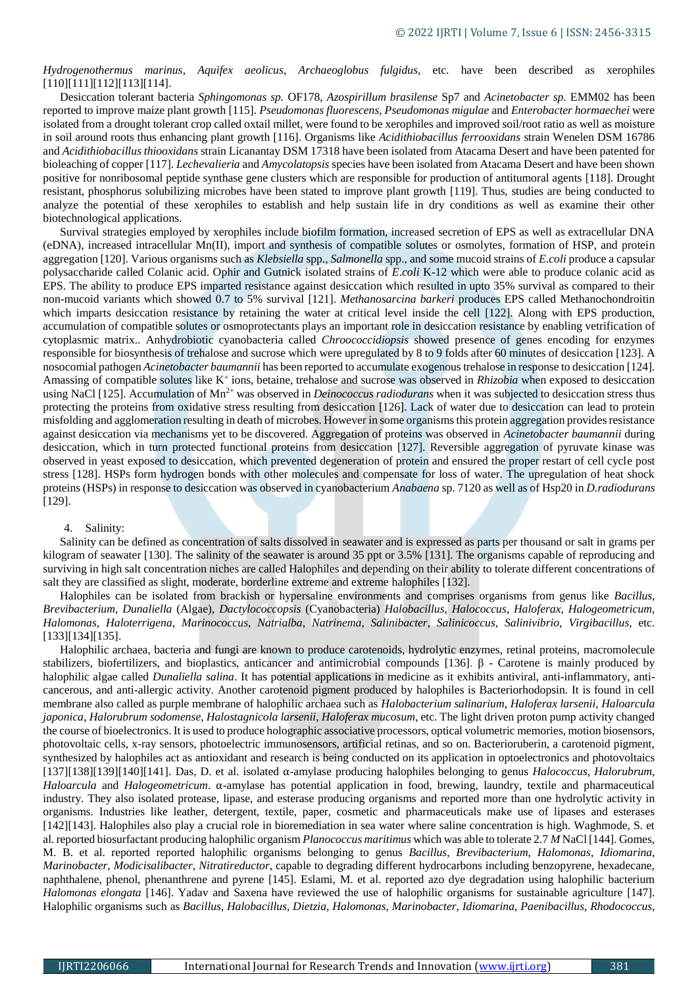*Hydrogenothermus marinus*, *Aquifex aeolicus*, *Archaeoglobus fulgidus*, etc. have been described as xerophiles [110][111][112][113][114].

Desiccation tolerant bacteria *Sphingomonas sp.* OF178, *Azospirillum brasilense* Sp7 and *Acinetobacter sp.* EMM02 has been reported to improve maize plant growth [115]. *Pseudomonas fluorescens, Pseudomonas migulae* and *Enterobacter hormaechei* were isolated from a drought tolerant crop called oxtail millet, were found to be xerophiles and improved soil/root ratio as well as moisture in soil around roots thus enhancing plant growth [116]. Organisms like *Acidithiobacillus ferrooxidans* strain Wenelen DSM 16786 and *Acidithiobacillus thiooxidans* strain Licanantay DSM 17318 have been isolated from Atacama Desert and have been patented for bioleaching of copper [117]. *Lechevalieria* and *Amycolatopsis* species have been isolated from Atacama Desert and have been shown positive for nonribosomal peptide synthase gene clusters which are responsible for production of antitumoral agents [118]. Drought resistant, phosphorus solubilizing microbes have been stated to improve plant growth [119]. Thus, studies are being conducted to analyze the potential of these xerophiles to establish and help sustain life in dry conditions as well as examine their other biotechnological applications.

Survival strategies employed by xerophiles include biofilm formation, increased secretion of EPS as well as extracellular DNA (eDNA), increased intracellular Mn(II), import and synthesis of compatible solutes or osmolytes, formation of HSP, and protein aggregation [120]. Various organisms such as *Klebsiella* spp., *Salmonella* spp., and some mucoid strains of *E*.*coli* produce a capsular polysaccharide called Colanic acid. Ophir and Gutnick isolated strains of *E*.*coli* K-12 which were able to produce colanic acid as EPS. The ability to produce EPS imparted resistance against desiccation which resulted in upto 35% survival as compared to their non-mucoid variants which showed 0.7 to 5% survival [121]. *Methanosarcina barkeri* produces EPS called Methanochondroitin which imparts desiccation resistance by retaining the water at critical level inside the cell [122]. Along with EPS production, accumulation of compatible solutes or osmoprotectants plays an important role in desiccation resistance by enabling vetrification of cytoplasmic matrix.. Anhydrobiotic cyanobacteria called *Chroococcidiopsis* showed presence of genes encoding for enzymes responsible for biosynthesis of trehalose and sucrose which were upregulated by 8 to 9 folds after 60 minutes of desiccation [123]. A nosocomial pathogen *Acinetobacter baumannii* has been reported to accumulate exogenous trehalose in response to desiccation [124]. Amassing of compatible solutes like K<sup>+</sup> ions, betaine, trehalose and sucrose was observed in *Rhizobia* when exposed to desiccation using NaCl [125]. Accumulation of Mn<sup>2+</sup> was observed in *Deinococcus radiodurans* when it was subjected to desiccation stress thus protecting the proteins from oxidative stress resulting from desiccation [126]. Lack of water due to desiccation can lead to protein misfolding and agglomeration resulting in death of microbes. However in some organisms this protein aggregation provides resistance against desiccation via mechanisms yet to be discovered. Aggregation of proteins was observed in *Acinetobacter baumannii* during desiccation, which in turn protected functional proteins from desiccation [127]. Reversible aggregation of pyruvate kinase was observed in yeast exposed to desiccation, which prevented degeneration of protein and ensured the proper restart of cell cycle post stress [128]. HSPs form hydrogen bonds with other molecules and compensate for loss of water. The upregulation of heat shock proteins (HSPs) in response to desiccation was observed in cyanobacterium *Anabaena* sp. 7120 as well as of Hsp20 in *D.radiodurans* [129].

#### 4. Salinity:

Salinity can be defined as concentration of salts dissolved in seawater and is expressed as parts per thousand or salt in grams per kilogram of seawater [130]. The salinity of the seawater is around 35 ppt or 3.5% [131]. The organisms capable of reproducing and surviving in high salt concentration niches are called Halophiles and depending on their ability to tolerate different concentrations of salt they are classified as slight, moderate, borderline extreme and extreme halophiles [132].

Halophiles can be isolated from brackish or hypersaline environments and comprises organisms from genus like *Bacillus*, *Brevibacterium*, *Dunaliella* (Algae), *Dactylococcopsis* (Cyanobacteria) *Halobacillus*, *Halococcus*, *Haloferax*, *Halogeometricum*, *Halomonas*, *Haloterrigena*, *Marinococcus*, *Natrialba*, *Natrinema*, *Salinibacter*, *Salinicoccus*, *Salinivibrio*, *Virgibacillus*, etc. [133][134][135].

Halophilic archaea, bacteria and fungi are known to produce carotenoids, hydrolytic enzymes, retinal proteins, macromolecule stabilizers, biofertilizers, and bioplastics, anticancer and antimicrobial compounds [136]. β - Carotene is mainly produced by halophilic algae called *Dunaliella salina*. It has potential applications in medicine as it exhibits antiviral, anti-inflammatory, anticancerous, and anti-allergic activity. Another carotenoid pigment produced by halophiles is Bacteriorhodopsin. It is found in cell membrane also called as purple membrane of halophilic archaea such as *Halobacterium salinarium*, *Haloferax larsenii*, *Haloarcula japonica*, *Halorubrum sodomense*, *Halostagnicola larsenii*, *Haloferax mucosum*, etc. The light driven proton pump activity changed the course of bioelectronics. It is used to produce holographic associative processors, optical volumetric memories, motion biosensors, photovoltaic cells, x-ray sensors, photoelectric immunosensors, artificial retinas, and so on. Bacterioruberin, a carotenoid pigment, synthesized by halophiles act as antioxidant and research is being conducted on its application in optoelectronics and photovoltaics [137][138][139][140][141]. Das, D. et al. isolated ⍺-amylase producing halophiles belonging to genus *Halococcus*, *Halorubrum*, *Haloarcula* and *Halogeometricum*. α-amylase has potential application in food, brewing, laundry, textile and pharmaceutical industry. They also isolated protease, lipase, and esterase producing organisms and reported more than one hydrolytic activity in organisms. Industries like leather, detergent, textile, paper, cosmetic and pharmaceuticals make use of lipases and esterases [142][143]. Halophiles also play a crucial role in bioremediation in sea water where saline concentration is high. Waghmode, S. et al. reported biosurfactant producing halophilic organism *Planococcus maritimus* which was able to tolerate 2.7 *M* NaCl [144]. Gomes, M. B. et al. reported reported halophilic organisms belonging to genus *Bacillus*, *Brevibacterium*, *Halomonas*, *Idiomarina*, *Marinobacter*, *Modicisalibacter*, *Nitratireductor*, capable to degrading different hydrocarbons including benzopyrene, hexadecane, naphthalene, phenol, phenanthrene and pyrene [145]. Eslami, M. et al. reported azo dye degradation using halophilic bacterium *Halomonas elongata* [146]. Yadav and Saxena have reviewed the use of halophilic organisms for sustainable agriculture [147]. Halophilic organisms such as *Bacillus*, *Halobacillus*, *Dietzia*, *Halomonas*, *Marinobacter*, *Idiomarina*, *Paenibacillus*, *Rhodococcus*,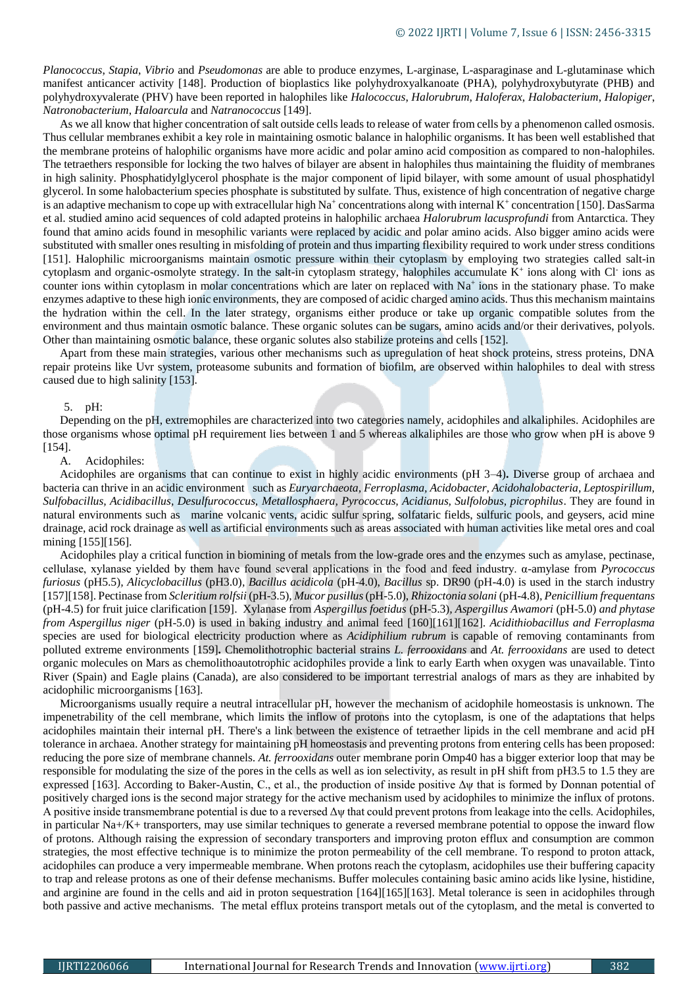*Planococcus*, *Stapia*, *Vibrio* and *Pseudomonas* are able to produce enzymes, L-arginase, L-asparaginase and L-glutaminase which manifest anticancer activity [148]. Production of bioplastics like polyhydroxyalkanoate (PHA), polyhydroxybutyrate (PHB) and polyhydroxyvalerate (PHV) have been reported in halophiles like *Halococcus*, *Halorubrum*, *Haloferax*, *Halobacterium*, *Halopiger*, *Natronobacterium*, *Haloarcula* and *Natranococcus* [149].

As we all know that higher concentration of salt outside cells leads to release of water from cells by a phenomenon called osmosis. Thus cellular membranes exhibit a key role in maintaining osmotic balance in halophilic organisms. It has been well established that the membrane proteins of halophilic organisms have more acidic and polar amino acid composition as compared to non-halophiles. The tetraethers responsible for locking the two halves of bilayer are absent in halophiles thus maintaining the fluidity of membranes in high salinity. Phosphatidylglycerol phosphate is the major component of lipid bilayer, with some amount of usual phosphatidyl glycerol. In some halobacterium species phosphate is substituted by sulfate. Thus, existence of high concentration of negative charge is an adaptive mechanism to cope up with extracellular high Na<sup>+</sup> concentrations along with internal K<sup>+</sup> concentration [150]. DasSarma et al. studied amino acid sequences of cold adapted proteins in halophilic archaea *Halorubrum lacusprofundi* from Antarctica. They found that amino acids found in mesophilic variants were replaced by acidic and polar amino acids. Also bigger amino acids were substituted with smaller ones resulting in misfolding of protein and thus imparting flexibility required to work under stress conditions [151]. Halophilic microorganisms maintain osmotic pressure within their cytoplasm by employing two strategies called salt-in cytoplasm and organic-osmolyte strategy. In the salt-in cytoplasm strategy, halophiles accumulate  $K^+$  ions along with Cl ions as counter ions within cytoplasm in molar concentrations which are later on replaced with Na<sup>+</sup> ions in the stationary phase. To make enzymes adaptive to these high ionic environments, they are composed of acidic charged amino acids. Thus this mechanism maintains the hydration within the cell. In the later strategy, organisms either produce or take up organic compatible solutes from the environment and thus maintain osmotic balance. These organic solutes can be sugars, amino acids and/or their derivatives, polyols. Other than maintaining osmotic balance, these organic solutes also stabilize proteins and cells [152].

Apart from these main strategies, various other mechanisms such as upregulation of heat shock proteins, stress proteins, DNA repair proteins like Uvr system, proteasome subunits and formation of biofilm, are observed within halophiles to deal with stress caused due to high salinity [153].

### 5. pH:

Depending on the pH, extremophiles are characterized into two categories namely, acidophiles and alkaliphiles. Acidophiles are those organisms whose optimal pH requirement lies between 1 and 5 whereas alkaliphiles are those who grow when pH is above 9 [154].

## A. Acidophiles:

Acidophiles are organisms that can continue to exist in highly acidic environments (pH 3–4)**.** Diverse group of archaea and bacteria can thrive in an acidic environment such as *Euryarchaeota, Ferroplasma, Acidobacter, Acidohalobacteria, Leptospirillum, Sulfobacillus, Acidibacillus, Desulfurococcus, Metallosphaera, Pyrococcus, Acidianus, Sulfolobus, picrophilus*. They are found in natural environments such as marine volcanic vents, acidic sulfur spring, solfataric fields, sulfuric pools, and geysers, acid mine drainage, acid rock drainage as well as artificial environments such as areas associated with human activities like metal ores and coal mining [155][156].

Acidophiles play a critical function in biomining of metals from the low-grade ores and the enzymes such as amylase, pectinase, cellulase, xylanase yielded by them have found several applications in the food and feed industry. α-amylase from *Pyrococcus furiosus* (pH5.5)*, Alicyclobacillus* (pH3.0)*, Bacillus acidicola* (pH-4.0), *Bacillus* sp. DR90 (pH-4.0) is used in the starch industry [157][158]. Pectinase from *Scleritium rolfsii* (pH-3.5)*, Mucor pusillus* (pH-5.0), *Rhizoctonia solani* (pH-4.8)*, Penicillium frequentans*  (pH-4.5) for fruit juice clarification [159]. Xylanase from *Aspergillus foetidus* (pH-5.3)*, Aspergillus Awamori* (pH-5.0) *and phytase from Aspergillus niger* (pH-5.0) is used in baking industry and animal feed [160][161][162]. *Acidithiobacillus and Ferroplasma* species are used for biological electricity production where as *Acidiphilium rubrum* is capable of removing contaminants from polluted extreme environments [159]**.** Chemolithotrophic bacterial strains *L. ferrooxidans* and *At. ferrooxidans* are used to detect organic molecules on Mars as chemolithoautotrophic acidophiles provide a link to early Earth when oxygen was unavailable. Tinto River (Spain) and Eagle plains (Canada), are also considered to be important terrestrial analogs of mars as they are inhabited by acidophilic microorganisms [163].

Microorganisms usually require a neutral intracellular pH, however the mechanism of acidophile homeostasis is unknown. The impenetrability of the cell membrane, which limits the inflow of protons into the cytoplasm, is one of the adaptations that helps acidophiles maintain their internal pH. There's a link between the existence of tetraether lipids in the cell membrane and acid pH tolerance in archaea. Another strategy for maintaining pH homeostasis and preventing protons from entering cells has been proposed: reducing the pore size of membrane channels. *At. ferrooxidans* outer membrane porin Omp40 has a bigger exterior loop that may be responsible for modulating the size of the pores in the cells as well as ion selectivity, as result in pH shift from pH3.5 to 1.5 they are expressed [163]. According to Baker-Austin, C., et al., the production of inside positive  $\Delta \psi$  that is formed by Donnan potential of positively charged ions is the second major strategy for the active mechanism used by acidophiles to minimize the influx of protons. A positive inside transmembrane potential is due to a reversed Δψ that could prevent protons from leakage into the cells. Acidophiles, in particular Na+/K+ transporters, may use similar techniques to generate a reversed membrane potential to oppose the inward flow of protons. Although raising the expression of secondary transporters and improving proton efflux and consumption are common strategies, the most effective technique is to minimize the proton permeability of the cell membrane. To respond to proton attack, acidophiles can produce a very impermeable membrane. When protons reach the cytoplasm, acidophiles use their buffering capacity to trap and release protons as one of their defense mechanisms. Buffer molecules containing basic amino acids like lysine, histidine, and arginine are found in the cells and aid in proton sequestration [164][165][163]. Metal tolerance is seen in acidophiles through both passive and active mechanisms. The metal efflux proteins transport metals out of the cytoplasm, and the metal is converted to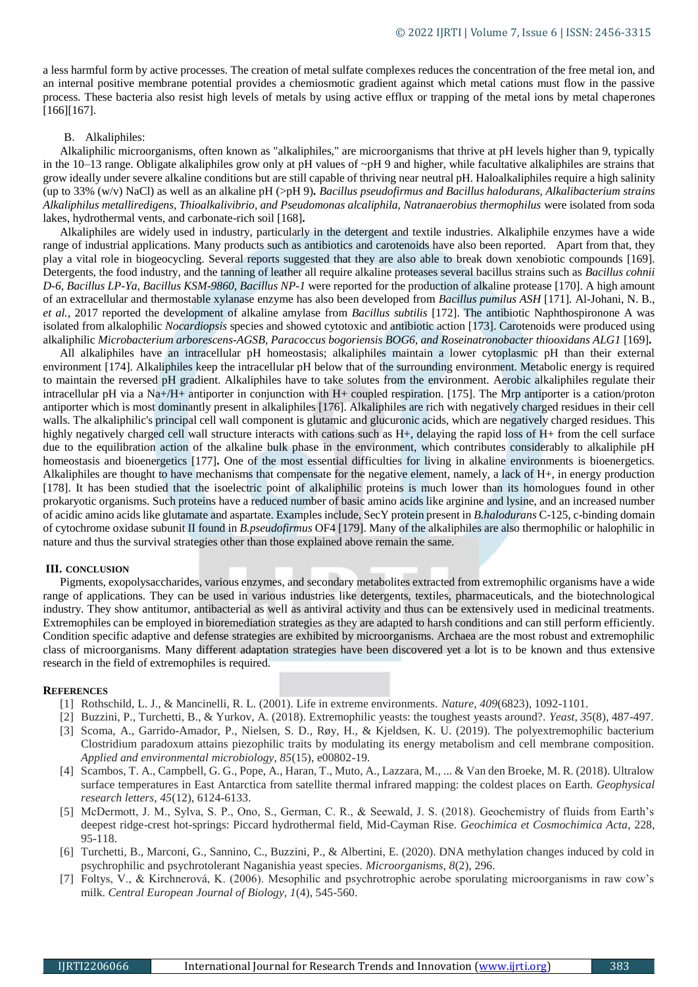a less harmful form by active processes. The creation of metal sulfate complexes reduces the concentration of the free metal ion, and an internal positive membrane potential provides a chemiosmotic gradient against which metal cations must flow in the passive process. These bacteria also resist high levels of metals by using active efflux or trapping of the metal ions by metal chaperones [166][167].

### B. Alkaliphiles:

Alkaliphilic microorganisms, often known as "alkaliphiles," are microorganisms that thrive at pH levels higher than 9, typically in the 10–13 range. Obligate alkaliphiles grow only at pH values of ~pH 9 and higher, while facultative alkaliphiles are strains that grow ideally under severe alkaline conditions but are still capable of thriving near neutral pH. Haloalkaliphiles require a high salinity (up to 33% (w/v) NaCl) as well as an alkaline pH (>pH 9)*. Bacillus pseudofirmus and Bacillus halodurans, Alkalibacterium strains Alkaliphilus metalliredigens, Thioalkalivibrio, and Pseudomonas alcaliphila, Natranaerobius thermophilus* were isolated from soda lakes, hydrothermal vents, and carbonate-rich soil [168]**.**

Alkaliphiles are widely used in industry, particularly in the detergent and textile industries. Alkaliphile enzymes have a wide range of industrial applications. Many products such as antibiotics and carotenoids have also been reported. Apart from that, they play a vital role in biogeocycling. Several reports suggested that they are also able to break down xenobiotic compounds [169]. Detergents, the food industry, and the tanning of leather all require alkaline proteases several bacillus strains such as *Bacillus cohnii D-6, Bacillus LP-Ya, Bacillus KSM-9860, Bacillus NP-1* were reported for the production of alkaline protease [170]. A high amount of an extracellular and thermostable xylanase enzyme has also been developed from *Bacillus pumilus ASH* [171]*.* Al-Johani, N. B., *et al.,* 2017 reported the development of alkaline amylase from *Bacillus subtilis* [172]. The antibiotic Naphthospironone A was isolated from alkalophilic *Nocardiopsis* species and showed cytotoxic and antibiotic action [173]. Carotenoids were produced using alkaliphilic *Microbacterium arborescens-AGSB, Paracoccus bogoriensis BOG6, and Roseinatronobacter thiooxidans ALG1* [169]**.**

All alkaliphiles have an intracellular pH homeostasis; alkaliphiles maintain a lower cytoplasmic pH than their external environment [174]. Alkaliphiles keep the intracellular pH below that of the surrounding environment. Metabolic energy is required to maintain the reversed pH gradient. Alkaliphiles have to take solutes from the environment. Aerobic alkaliphiles regulate their intracellular pH via a Na+/H+ antiporter in conjunction with H+ coupled respiration. [175]. The Mrp antiporter is a cation/proton antiporter which is most dominantly present in alkaliphiles [176]. Alkaliphiles are rich with negatively charged residues in their cell walls. The alkaliphilic's principal cell wall component is glutamic and glucuronic acids, which are negatively charged residues. This highly negatively charged cell wall structure interacts with cations such as H+, delaying the rapid loss of H+ from the cell surface due to the equilibration action of the alkaline bulk phase in the environment, which contributes considerably to alkaliphile pH homeostasis and bioenergetics [177]**.** One of the most essential difficulties for living in alkaline environments is bioenergetics. Alkaliphiles are thought to have mechanisms that compensate for the negative element, namely, a lack of H+, in energy production [178]. It has been studied that the isoelectric point of alkaliphilic proteins is much lower than its homologues found in other prokaryotic organisms. Such proteins have a reduced number of basic amino acids like arginine and lysine, and an increased number of acidic amino acids like glutamate and aspartate. Examples include, SecY protein present in *B.halodurans* C-125, c-binding domain of cytochrome oxidase subunit II found in *B.pseudofirmus* OF4 [179]. Many of the alkaliphiles are also thermophilic or halophilic in nature and thus the survival strategies other than those explained above remain the same.

#### **III. CONCLUSION**

Pigments, exopolysaccharides, various enzymes, and secondary metabolites extracted from extremophilic organisms have a wide range of applications. They can be used in various industries like detergents, textiles, pharmaceuticals, and the biotechnological industry. They show antitumor, antibacterial as well as antiviral activity and thus can be extensively used in medicinal treatments. Extremophiles can be employed in bioremediation strategies as they are adapted to harsh conditions and can still perform efficiently. Condition specific adaptive and defense strategies are exhibited by microorganisms. Archaea are the most robust and extremophilic class of microorganisms. Many different adaptation strategies have been discovered yet a lot is to be known and thus extensive research in the field of extremophiles is required.

#### **REFERENCES**

- [1] Rothschild, L. J., & Mancinelli, R. L. (2001). Life in extreme environments. *Nature, 409*(6823), 1092-1101.
- [2] Buzzini, P., Turchetti, B., & Yurkov, A. (2018). Extremophilic yeasts: the toughest yeasts around?. *Yeast, 35*(8), 487-497.
- [3] Scoma, A., Garrido-Amador, P., Nielsen, S. D., Røy, H., & Kjeldsen, K. U. (2019). The polyextremophilic bacterium Clostridium paradoxum attains piezophilic traits by modulating its energy metabolism and cell membrane composition. *Applied and environmental microbiology, 85*(15), e00802-19.
- [4] Scambos, T. A., Campbell, G. G., Pope, A., Haran, T., Muto, A., Lazzara, M., ... & Van den Broeke, M. R. (2018). Ultralow surface temperatures in East Antarctica from satellite thermal infrared mapping: the coldest places on Earth. *Geophysical research letters, 45*(12), 6124-6133.
- [5] McDermott, J. M., Sylva, S. P., Ono, S., German, C. R., & Seewald, J. S. (2018). Geochemistry of fluids from Earth's deepest ridge-crest hot-springs: Piccard hydrothermal field, Mid-Cayman Rise. *Geochimica et Cosmochimica Acta,* 228, 95-118.
- [6] Turchetti, B., Marconi, G., Sannino, C., Buzzini, P., & Albertini, E. (2020). DNA methylation changes induced by cold in psychrophilic and psychrotolerant Naganishia yeast species. *Microorganisms, 8*(2), 296.
- [7] Foltys, V., & Kirchnerová, K. (2006). Mesophilic and psychrotrophic aerobe sporulating microorganisms in raw cow's milk. *Central European Journal of Biology, 1*(4), 545-560.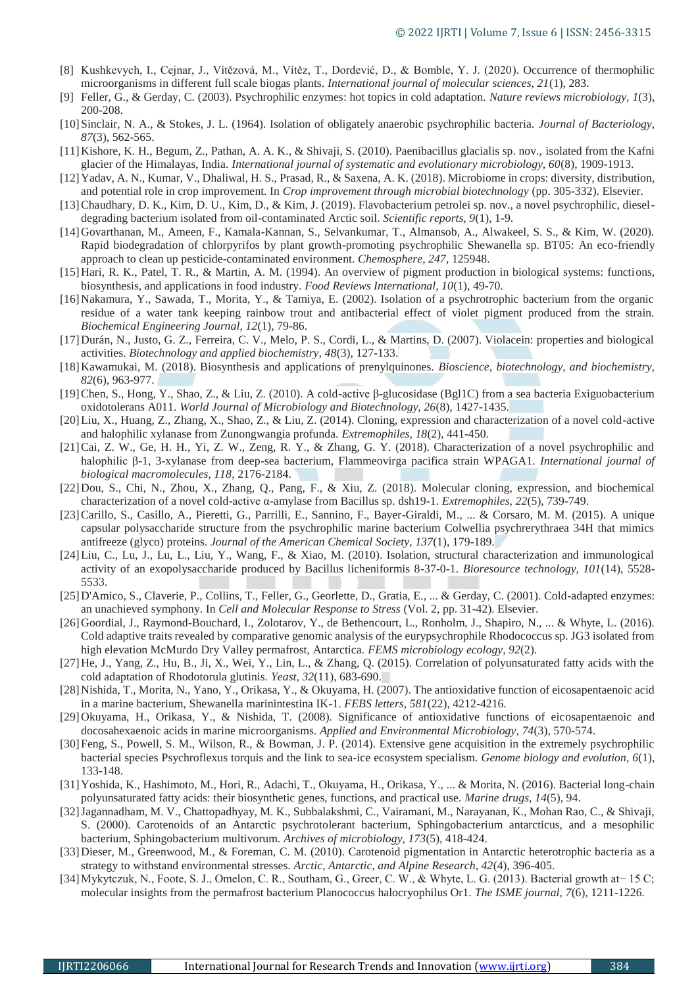- [8] Kushkevych, I., Cejnar, J., Vítězová, M., Vítěz, T., Dordević, D., & Bomble, Y. J. (2020). Occurrence of thermophilic microorganisms in different full scale biogas plants. *International journal of molecular sciences, 21*(1), 283.
- [9] Feller, G., & Gerday, C. (2003). Psychrophilic enzymes: hot topics in cold adaptation. *Nature reviews microbiology, 1*(3), 200-208.
- [10]Sinclair, N. A., & Stokes, J. L. (1964). Isolation of obligately anaerobic psychrophilic bacteria. *Journal of Bacteriology, 87*(3), 562-565.
- [11]Kishore, K. H., Begum, Z., Pathan, A. A. K., & Shivaji, S. (2010). Paenibacillus glacialis sp. nov., isolated from the Kafni glacier of the Himalayas, India. *International journal of systematic and evolutionary microbiology, 60*(8), 1909-1913.
- [12]Yadav, A. N., Kumar, V., Dhaliwal, H. S., Prasad, R., & Saxena, A. K. (2018). Microbiome in crops: diversity, distribution, and potential role in crop improvement. In *Crop improvement through microbial biotechnology* (pp. 305-332). Elsevier.
- [13]Chaudhary, D. K., Kim, D. U., Kim, D., & Kim, J. (2019). Flavobacterium petrolei sp. nov., a novel psychrophilic, dieseldegrading bacterium isolated from oil-contaminated Arctic soil. *Scientific reports, 9*(1), 1-9.
- [14]Govarthanan, M., Ameen, F., Kamala-Kannan, S., Selvankumar, T., Almansob, A., Alwakeel, S. S., & Kim, W. (2020). Rapid biodegradation of chlorpyrifos by plant growth-promoting psychrophilic Shewanella sp. BT05: An eco-friendly approach to clean up pesticide-contaminated environment. *Chemosphere, 247*, 125948.
- [15]Hari, R. K., Patel, T. R., & Martin, A. M. (1994). An overview of pigment production in biological systems: functions, biosynthesis, and applications in food industry. *Food Reviews International, 10*(1), 49-70.
- [16]Nakamura, Y., Sawada, T., Morita, Y., & Tamiya, E. (2002). Isolation of a psychrotrophic bacterium from the organic residue of a water tank keeping rainbow trout and antibacterial effect of violet pigment produced from the strain. *Biochemical Engineering Journal, 12*(1), 79-86.
- [17]Durán, N., Justo, G. Z., Ferreira, C. V., Melo, P. S., Cordi, L., & Martins, D. (2007). Violacein: properties and biological activities. *Biotechnology and applied biochemistry, 48*(3), 127-133.
- [18]Kawamukai, M. (2018). Biosynthesis and applications of prenylquinones. *Bioscience, biotechnology, and biochemistry, 82*(6), 963-977.
- [19]Chen, S., Hong, Y., Shao, Z., & Liu, Z. (2010). A cold-active β-glucosidase (Bgl1C) from a sea bacteria Exiguobacterium oxidotolerans A011. *World Journal of Microbiology and Biotechnology, 26*(8), 1427-1435.
- [20]Liu, X., Huang, Z., Zhang, X., Shao, Z., & Liu, Z. (2014). Cloning, expression and characterization of a novel cold-active and halophilic xylanase from Zunongwangia profunda. *Extremophiles, 18*(2), 441-450.
- [21]Cai, Z. W., Ge, H. H., Yi, Z. W., Zeng, R. Y., & Zhang, G. Y. (2018). Characterization of a novel psychrophilic and halophilic β-1, 3-xylanase from deep-sea bacterium, Flammeovirga pacifica strain WPAGA1. *International journal of biological macromolecules, 118*, 2176-2184.
- [22]Dou, S., Chi, N., Zhou, X., Zhang, Q., Pang, F., & Xiu, Z. (2018). Molecular cloning, expression, and biochemical characterization of a novel cold-active α-amylase from Bacillus sp. dsh19-1. *Extremophiles, 22*(5), 739-749.
- [23]Carillo, S., Casillo, A., Pieretti, G., Parrilli, E., Sannino, F., Bayer-Giraldi, M., ... & Corsaro, M. M. (2015). A unique capsular polysaccharide structure from the psychrophilic marine bacterium Colwellia psychrerythraea 34H that mimics antifreeze (glyco) proteins. *Journal of the American Chemical Society, 137*(1), 179-189.
- [24]Liu, C., Lu, J., Lu, L., Liu, Y., Wang, F., & Xiao, M. (2010). Isolation, structural characterization and immunological activity of an exopolysaccharide produced by Bacillus licheniformis 8-37-0-1. *Bioresource technology, 101*(14), 5528- 5533.
- [25]D'Amico, S., Claverie, P., Collins, T., Feller, G., Georlette, D., Gratia, E., ... & Gerday, C. (2001). Cold-adapted enzymes: an unachieved symphony. In *Cell and Molecular Response to Stress* (Vol. 2, pp. 31-42). Elsevier.
- [26] Goordial, J., Raymond-Bouchard, I., Zolotarov, Y., de Bethencourt, L., Ronholm, J., Shapiro, N., ... & Whyte, L. (2016). Cold adaptive traits revealed by comparative genomic analysis of the eurypsychrophile Rhodococcus sp. JG3 isolated from high elevation McMurdo Dry Valley permafrost, Antarctica. *FEMS microbiology ecology, 92*(2).
- [27]He, J., Yang, Z., Hu, B., Ji, X., Wei, Y., Lin, L., & Zhang, Q. (2015). Correlation of polyunsaturated fatty acids with the cold adaptation of Rhodotorula glutinis. *Yeast, 32*(11), 683-690.
- [28]Nishida, T., Morita, N., Yano, Y., Orikasa, Y., & Okuyama, H. (2007). The antioxidative function of eicosapentaenoic acid in a marine bacterium, Shewanella marinintestina IK-1. *FEBS letters, 581*(22), 4212-4216.
- [29]Okuyama, H., Orikasa, Y., & Nishida, T. (2008). Significance of antioxidative functions of eicosapentaenoic and docosahexaenoic acids in marine microorganisms. *Applied and Environmental Microbiology, 74*(3), 570-574.
- [30]Feng, S., Powell, S. M., Wilson, R., & Bowman, J. P. (2014). Extensive gene acquisition in the extremely psychrophilic bacterial species Psychroflexus torquis and the link to sea-ice ecosystem specialism. *Genome biology and evolution, 6*(1), 133-148.
- [31]Yoshida, K., Hashimoto, M., Hori, R., Adachi, T., Okuyama, H., Orikasa, Y., ... & Morita, N. (2016). Bacterial long-chain polyunsaturated fatty acids: their biosynthetic genes, functions, and practical use. *Marine drugs, 14*(5), 94.
- [32]Jagannadham, M. V., Chattopadhyay, M. K., Subbalakshmi, C., Vairamani, M., Narayanan, K., Mohan Rao, C., & Shivaji, S. (2000). Carotenoids of an Antarctic psychrotolerant bacterium, Sphingobacterium antarcticus, and a mesophilic bacterium, Sphingobacterium multivorum. *Archives of microbiology, 173*(5), 418-424.
- [33] Dieser, M., Greenwood, M., & Foreman, C. M. (2010). Carotenoid pigmentation in Antarctic heterotrophic bacteria as a strategy to withstand environmental stresses. *Arctic, Antarctic, and Alpine Research, 42*(4), 396-405.
- [34]Mykytczuk, N., Foote, S. J., Omelon, C. R., Southam, G., Greer, C. W., & Whyte, L. G. (2013). Bacterial growth at− 15 C; molecular insights from the permafrost bacterium Planococcus halocryophilus Or1. *The ISME journal, 7*(6), 1211-1226.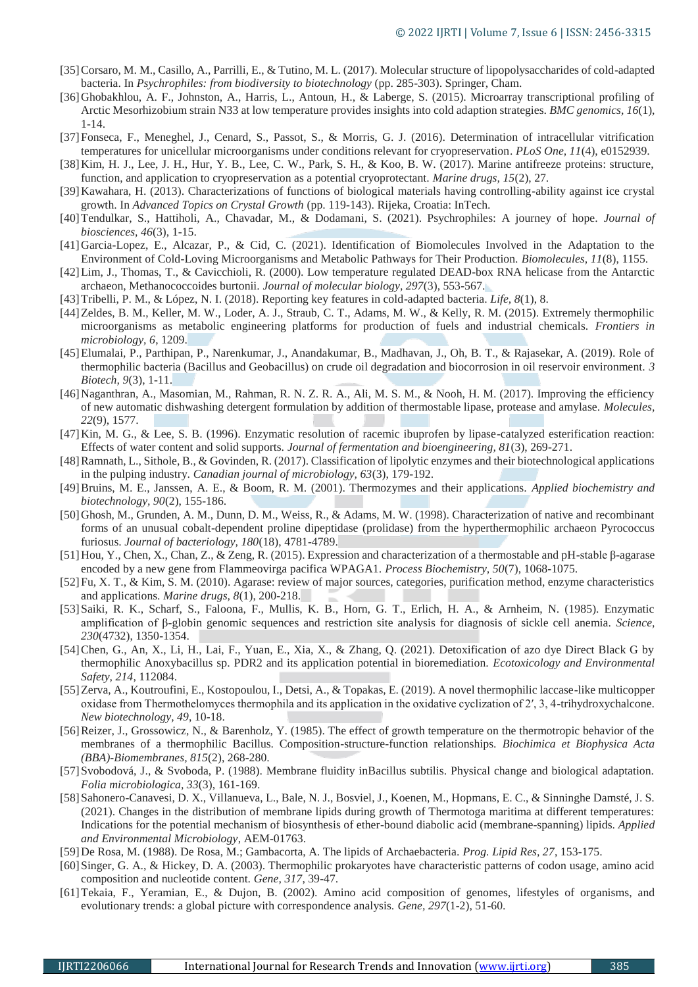- [35]Corsaro, M. M., Casillo, A., Parrilli, E., & Tutino, M. L. (2017). Molecular structure of lipopolysaccharides of cold-adapted bacteria. In *Psychrophiles: from biodiversity to biotechnology* (pp. 285-303). Springer, Cham.
- [36] Ghobakhlou, A. F., Johnston, A., Harris, L., Antoun, H., & Laberge, S. (2015). Microarray transcriptional profiling of Arctic Mesorhizobium strain N33 at low temperature provides insights into cold adaption strategies. *BMC genomics, 16*(1), 1-14.
- [37]Fonseca, F., Meneghel, J., Cenard, S., Passot, S., & Morris, G. J. (2016). Determination of intracellular vitrification temperatures for unicellular microorganisms under conditions relevant for cryopreservation. *PLoS One, 11*(4), e0152939.
- [38]Kim, H. J., Lee, J. H., Hur, Y. B., Lee, C. W., Park, S. H., & Koo, B. W. (2017). Marine antifreeze proteins: structure, function, and application to cryopreservation as a potential cryoprotectant. *Marine drugs, 15*(2), 27.
- [39]Kawahara, H. (2013). Characterizations of functions of biological materials having controlling-ability against ice crystal growth. In *Advanced Topics on Crystal Growth* (pp. 119-143). Rijeka, Croatia: InTech.
- [40]Tendulkar, S., Hattiholi, A., Chavadar, M., & Dodamani, S. (2021). Psychrophiles: A journey of hope. *Journal of biosciences, 46*(3), 1-15.
- [41]Garcia-Lopez, E., Alcazar, P., & Cid, C. (2021). Identification of Biomolecules Involved in the Adaptation to the Environment of Cold-Loving Microorganisms and Metabolic Pathways for Their Production. *Biomolecules, 11*(8), 1155.
- [42]Lim, J., Thomas, T., & Cavicchioli, R. (2000). Low temperature regulated DEAD-box RNA helicase from the Antarctic archaeon, Methanococcoides burtonii. *Journal of molecular biology, 297*(3), 553-567.
- [43]Tribelli, P. M., & López, N. I. (2018). Reporting key features in cold-adapted bacteria. *Life, 8*(1), 8.
- [44] Zeldes, B. M., Keller, M. W., Loder, A. J., Straub, C. T., Adams, M. W., & Kelly, R. M. (2015). Extremely thermophilic microorganisms as metabolic engineering platforms for production of fuels and industrial chemicals. *Frontiers in microbiology, 6*, 1209.
- [45]Elumalai, P., Parthipan, P., Narenkumar, J., Anandakumar, B., Madhavan, J., Oh, B. T., & Rajasekar, A. (2019). Role of thermophilic bacteria (Bacillus and Geobacillus) on crude oil degradation and biocorrosion in oil reservoir environment. *3 Biotech, 9*(3), 1-11.
- [46] Naganthran, A., Masomian, M., Rahman, R. N. Z. R. A., Ali, M. S. M., & Nooh, H. M. (2017). Improving the efficiency of new automatic dishwashing detergent formulation by addition of thermostable lipase, protease and amylase. *Molecules, 22*(9), 1577.
- [47]Kin, M. G., & Lee, S. B. (1996). Enzymatic resolution of racemic ibuprofen by lipase-catalyzed esterification reaction: Effects of water content and solid supports. *Journal of fermentation and bioengineering, 81*(3), 269-271.
- [48]Ramnath, L., Sithole, B., & Govinden, R. (2017). Classification of lipolytic enzymes and their biotechnological applications in the pulping industry. *Canadian journal of microbiology, 63*(3), 179-192.
- [49]Bruins, M. E., Janssen, A. E., & Boom, R. M. (2001). Thermozymes and their applications. *Applied biochemistry and biotechnology, 90*(2), 155-186.
- [50]Ghosh, M., Grunden, A. M., Dunn, D. M., Weiss, R., & Adams, M. W. (1998). Characterization of native and recombinant forms of an unusual cobalt-dependent proline dipeptidase (prolidase) from the hyperthermophilic archaeon Pyrococcus furiosus. *Journal of bacteriology, 180*(18), 4781-4789.
- [51]Hou, Y., Chen, X., Chan, Z., & Zeng, R. (2015). Expression and characterization of a thermostable and pH-stable β-agarase encoded by a new gene from Flammeovirga pacifica WPAGA1. *Process Biochemistry, 50*(7), 1068-1075.
- [52]Fu, X. T., & Kim, S. M. (2010). Agarase: review of major sources, categories, purification method, enzyme characteristics and applications. *Marine drugs, 8*(1), 200-218.
- [53]Saiki, R. K., Scharf, S., Faloona, F., Mullis, K. B., Horn, G. T., Erlich, H. A., & Arnheim, N. (1985). Enzymatic amplification of β-globin genomic sequences and restriction site analysis for diagnosis of sickle cell anemia. *Science, 230*(4732), 1350-1354.
- [54]Chen, G., An, X., Li, H., Lai, F., Yuan, E., Xia, X., & Zhang, Q. (2021). Detoxification of azo dye Direct Black G by thermophilic Anoxybacillus sp. PDR2 and its application potential in bioremediation. *Ecotoxicology and Environmental Safety, 214*, 112084.
- [55]Zerva, A., Koutroufini, E., Kostopoulou, I., Detsi, A., & Topakas, E. (2019). A novel thermophilic laccase-like multicopper oxidase from Thermothelomyces thermophila and its application in the oxidative cyclization of 2′, 3, 4-trihydroxychalcone. *New biotechnology, 49*, 10-18.
- [56] Reizer, J., Grossowicz, N., & Barenholz, Y. (1985). The effect of growth temperature on the thermotropic behavior of the membranes of a thermophilic Bacillus. Composition-structure-function relationships. *Biochimica et Biophysica Acta (BBA)-Biomembranes, 815*(2), 268-280.
- [57]Svobodová, J., & Svoboda, P. (1988). Membrane fluidity inBacillus subtilis. Physical change and biological adaptation. *Folia microbiologica, 33*(3), 161-169.
- [58]Sahonero-Canavesi, D. X., Villanueva, L., Bale, N. J., Bosviel, J., Koenen, M., Hopmans, E. C., & Sinninghe Damsté, J. S. (2021). Changes in the distribution of membrane lipids during growth of Thermotoga maritima at different temperatures: Indications for the potential mechanism of biosynthesis of ether-bound diabolic acid (membrane-spanning) lipids. *Applied and Environmental Microbiology*, AEM-01763.
- [59]De Rosa, M. (1988). De Rosa, M.; Gambacorta, A. The lipids of Archaebacteria. *Prog. Lipid Res, 27*, 153-175.
- [60]Singer, G. A., & Hickey, D. A. (2003). Thermophilic prokaryotes have characteristic patterns of codon usage, amino acid composition and nucleotide content. *Gene, 317*, 39-47.
- [61]Tekaia, F., Yeramian, E., & Dujon, B. (2002). Amino acid composition of genomes, lifestyles of organisms, and evolutionary trends: a global picture with correspondence analysis. *Gene, 297*(1-2), 51-60.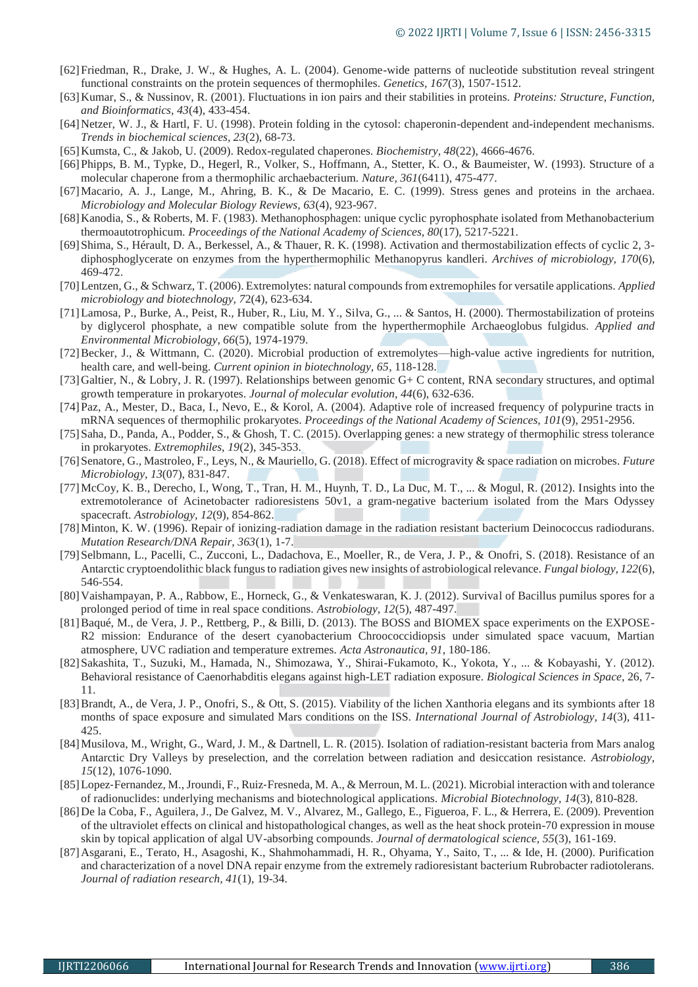- [62]Friedman, R., Drake, J. W., & Hughes, A. L. (2004). Genome-wide patterns of nucleotide substitution reveal stringent functional constraints on the protein sequences of thermophiles. *Genetics, 167*(3), 1507-1512.
- [63]Kumar, S., & Nussinov, R. (2001). Fluctuations in ion pairs and their stabilities in proteins. *Proteins: Structure, Function, and Bioinformatics, 43*(4), 433-454.
- [64] Netzer, W. J., & Hartl, F. U. (1998). Protein folding in the cytosol: chaperonin-dependent and-independent mechanisms. *Trends in biochemical sciences, 23*(2), 68-73.
- [65]Kumsta, C., & Jakob, U. (2009). Redox-regulated chaperones. *Biochemistry, 48*(22), 4666-4676.
- [66]Phipps, B. M., Typke, D., Hegerl, R., Volker, S., Hoffmann, A., Stetter, K. O., & Baumeister, W. (1993). Structure of a molecular chaperone from a thermophilic archaebacterium. *Nature, 361*(6411), 475-477.
- [67]Macario, A. J., Lange, M., Ahring, B. K., & De Macario, E. C. (1999). Stress genes and proteins in the archaea. *Microbiology and Molecular Biology Reviews, 63*(4), 923-967.
- [68]Kanodia, S., & Roberts, M. F. (1983). Methanophosphagen: unique cyclic pyrophosphate isolated from Methanobacterium thermoautotrophicum. *Proceedings of the National Academy of Sciences, 80*(17), 5217-5221.
- [69]Shima, S., Hérault, D. A., Berkessel, A., & Thauer, R. K. (1998). Activation and thermostabilization effects of cyclic 2, 3 diphosphoglycerate on enzymes from the hyperthermophilic Methanopyrus kandleri. *Archives of microbiology, 170*(6), 469-472.
- [70]Lentzen, G., & Schwarz, T. (2006). Extremolytes: natural compounds from extremophiles for versatile applications. *Applied microbiology and biotechnology, 7*2(4), 623-634.
- [71]Lamosa, P., Burke, A., Peist, R., Huber, R., Liu, M. Y., Silva, G., ... & Santos, H. (2000). Thermostabilization of proteins by diglycerol phosphate, a new compatible solute from the hyperthermophile Archaeoglobus fulgidus. *Applied and Environmental Microbiology, 66*(5), 1974-1979.
- [72] Becker, J., & Wittmann, C. (2020). Microbial production of extremolytes—high-value active ingredients for nutrition, health care, and well-being. *Current opinion in biotechnology, 65*, 118-128.
- [73]Galtier, N., & Lobry, J. R. (1997). Relationships between genomic G+ C content, RNA secondary structures, and optimal growth temperature in prokaryotes. *Journal of molecular evolution, 44*(6), 632-636.
- [74]Paz, A., Mester, D., Baca, I., Nevo, E., & Korol, A. (2004). Adaptive role of increased frequency of polypurine tracts in mRNA sequences of thermophilic prokaryotes. *Proceedings of the National Academy of Sciences, 101*(9), 2951-2956.
- [75]Saha, D., Panda, A., Podder, S., & Ghosh, T. C. (2015). Overlapping genes: a new strategy of thermophilic stress tolerance in prokaryotes. *Extremophiles, 19*(2), 345-353.
- [76]Senatore, G., Mastroleo, F., Leys, N., & Mauriello, G. (2018). Effect of microgravity & space radiation on microbes. *Future Microbiology, 13*(07), 831-847.
- [77]McCoy, K. B., Derecho, I., Wong, T., Tran, H. M., Huynh, T. D., La Duc, M. T., ... & Mogul, R. (2012). Insights into the extremotolerance of Acinetobacter radioresistens 50v1, a gram-negative bacterium isolated from the Mars Odyssey spacecraft. *Astrobiology, 12*(9), 854-862.
- [78]Minton, K. W. (1996). Repair of ionizing-radiation damage in the radiation resistant bacterium Deinococcus radiodurans. *Mutation Research/DNA Repair, 363*(1), 1-7.
- [79]Selbmann, L., Pacelli, C., Zucconi, L., Dadachova, E., Moeller, R., de Vera, J. P., & Onofri, S. (2018). Resistance of an Antarctic cryptoendolithic black fungus to radiation gives new insights of astrobiological relevance. *Fungal biology, 122*(6), 546-554.
- [80]Vaishampayan, P. A., Rabbow, E., Horneck, G., & Venkateswaran, K. J. (2012). Survival of Bacillus pumilus spores for a prolonged period of time in real space conditions. *Astrobiology, 12*(5), 487-497.
- [81]Baqué, M., de Vera, J. P., Rettberg, P., & Billi, D. (2013). The BOSS and BIOMEX space experiments on the EXPOSE-R2 mission: Endurance of the desert cyanobacterium Chroococcidiopsis under simulated space vacuum, Martian atmosphere, UVC radiation and temperature extremes. *Acta Astronautica, 91*, 180-186.
- [82]Sakashita, T., Suzuki, M., Hamada, N., Shimozawa, Y., Shirai-Fukamoto, K., Yokota, Y., ... & Kobayashi, Y. (2012). Behavioral resistance of Caenorhabditis elegans against high-LET radiation exposure. *Biological Sciences in Space*, 26, 7- 11.
- [83]Brandt, A., de Vera, J. P., Onofri, S., & Ott, S. (2015). Viability of the lichen Xanthoria elegans and its symbionts after 18 months of space exposure and simulated Mars conditions on the ISS. *International Journal of Astrobiology, 14*(3), 411- 425.
- [84]Musilova, M., Wright, G., Ward, J. M., & Dartnell, L. R. (2015). Isolation of radiation-resistant bacteria from Mars analog Antarctic Dry Valleys by preselection, and the correlation between radiation and desiccation resistance. *Astrobiology, 15*(12), 1076-1090.
- [85] Lopez-Fernandez, M., Jroundi, F., Ruiz-Fresneda, M. A., & Merroun, M. L. (2021). Microbial interaction with and tolerance of radionuclides: underlying mechanisms and biotechnological applications. *Microbial Biotechnology, 14*(3), 810-828.
- [86]De la Coba, F., Aguilera, J., De Galvez, M. V., Alvarez, M., Gallego, E., Figueroa, F. L., & Herrera, E. (2009). Prevention of the ultraviolet effects on clinical and histopathological changes, as well as the heat shock protein-70 expression in mouse skin by topical application of algal UV-absorbing compounds. *Journal of dermatological science, 55*(3), 161-169.
- [87]Asgarani, E., Terato, H., Asagoshi, K., Shahmohammadi, H. R., Ohyama, Y., Saito, T., ... & Ide, H. (2000). Purification and characterization of a novel DNA repair enzyme from the extremely radioresistant bacterium Rubrobacter radiotolerans. *Journal of radiation research, 41*(1), 19-34.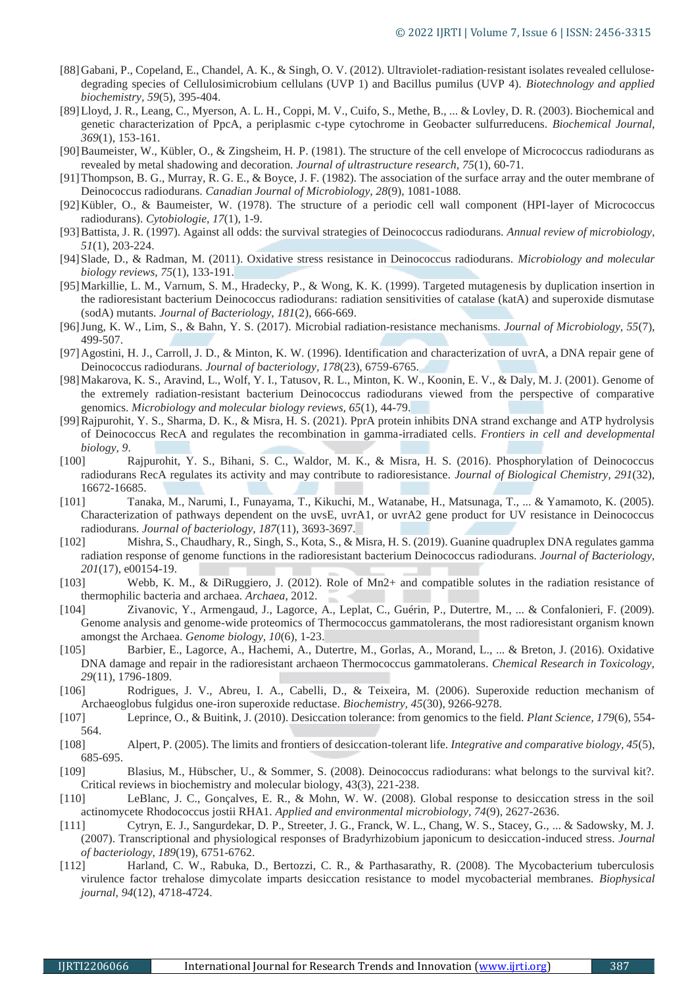- [88] Gabani, P., Copeland, E., Chandel, A. K., & Singh, O. V. (2012). Ultraviolet-radiation-resistant isolates revealed cellulosedegrading species of Cellulosimicrobium cellulans (UVP 1) and Bacillus pumilus (UVP 4). *Biotechnology and applied biochemistry, 59*(5), 395-404.
- [89]Lloyd, J. R., Leang, C., Myerson, A. L. H., Coppi, M. V., Cuifo, S., Methe, B., ... & Lovley, D. R. (2003). Biochemical and genetic characterization of PpcA, a periplasmic c-type cytochrome in Geobacter sulfurreducens. *Biochemical Journal, 369*(1), 153-161.
- [90]Baumeister, W., Kübler, O., & Zingsheim, H. P. (1981). The structure of the cell envelope of Micrococcus radiodurans as revealed by metal shadowing and decoration. *Journal of ultrastructure research, 75*(1), 60-71.
- [91]Thompson, B. G., Murray, R. G. E., & Boyce, J. F. (1982). The association of the surface array and the outer membrane of Deinococcus radiodurans. *Canadian Journal of Microbiology, 28*(9), 1081-1088.
- [92]Kübler, O., & Baumeister, W. (1978). The structure of a periodic cell wall component (HPI-layer of Micrococcus radiodurans). *Cytobiologie, 17*(1), 1-9.
- [93]Battista, J. R. (1997). Against all odds: the survival strategies of Deinococcus radiodurans. *Annual review of microbiology, 51*(1), 203-224.
- [94]Slade, D., & Radman, M. (2011). Oxidative stress resistance in Deinococcus radiodurans. *Microbiology and molecular biology reviews, 75*(1), 133-191.
- [95]Markillie, L. M., Varnum, S. M., Hradecky, P., & Wong, K. K. (1999). Targeted mutagenesis by duplication insertion in the radioresistant bacterium Deinococcus radiodurans: radiation sensitivities of catalase (katA) and superoxide dismutase (sodA) mutants. *Journal of Bacteriology, 181*(2), 666-669.
- [96]Jung, K. W., Lim, S., & Bahn, Y. S. (2017). Microbial radiation-resistance mechanisms. *Journal of Microbiology, 55*(7), 499-507.
- [97]Agostini, H. J., Carroll, J. D., & Minton, K. W. (1996). Identification and characterization of uvrA, a DNA repair gene of Deinococcus radiodurans. *Journal of bacteriology, 178*(23), 6759-6765.
- [98]Makarova, K. S., Aravind, L., Wolf, Y. I., Tatusov, R. L., Minton, K. W., Koonin, E. V., & Daly, M. J. (2001). Genome of the extremely radiation-resistant bacterium Deinococcus radiodurans viewed from the perspective of comparative genomics. *Microbiology and molecular biology reviews, 65*(1), 44-79.
- [99]Rajpurohit, Y. S., Sharma, D. K., & Misra, H. S. (2021). PprA protein inhibits DNA strand exchange and ATP hydrolysis of Deinococcus RecA and regulates the recombination in gamma-irradiated cells. *Frontiers in cell and developmental biology, 9*.
- [100] Rajpurohit, Y. S., Bihani, S. C., Waldor, M. K., & Misra, H. S. (2016). Phosphorylation of Deinococcus radiodurans RecA regulates its activity and may contribute to radioresistance. *Journal of Biological Chemistry, 291*(32), 16672-16685.
- [101] Tanaka, M., Narumi, I., Funayama, T., Kikuchi, M., Watanabe, H., Matsunaga, T., ... & Yamamoto, K. (2005). Characterization of pathways dependent on the uvsE, uvrA1, or uvrA2 gene product for UV resistance in Deinococcus radiodurans. *Journal of bacteriology, 187*(11), 3693-3697.
- [102] Mishra, S., Chaudhary, R., Singh, S., Kota, S., & Misra, H. S. (2019). Guanine quadruplex DNA regulates gamma radiation response of genome functions in the radioresistant bacterium Deinococcus radiodurans. *Journal of Bacteriology, 201*(17), e00154-19.
- [103] Webb, K. M., & DiRuggiero, J. (2012). Role of Mn2+ and compatible solutes in the radiation resistance of thermophilic bacteria and archaea. *Archaea*, 2012.
- [104] Zivanovic, Y., Armengaud, J., Lagorce, A., Leplat, C., Guérin, P., Dutertre, M., ... & Confalonieri, F. (2009). Genome analysis and genome-wide proteomics of Thermococcus gammatolerans, the most radioresistant organism known amongst the Archaea. *Genome biology, 10*(6), 1-23.
- [105] Barbier, E., Lagorce, A., Hachemi, A., Dutertre, M., Gorlas, A., Morand, L., ... & Breton, J. (2016). Oxidative DNA damage and repair in the radioresistant archaeon Thermococcus gammatolerans. *Chemical Research in Toxicology, 29*(11), 1796-1809.
- [106] Rodrigues, J. V., Abreu, I. A., Cabelli, D., & Teixeira, M. (2006). Superoxide reduction mechanism of Archaeoglobus fulgidus one-iron superoxide reductase. *Biochemistry, 45*(30), 9266-9278.
- [107] Leprince, O., & Buitink, J. (2010). Desiccation tolerance: from genomics to the field. *Plant Science, 179*(6), 554- 564.
- [108] Alpert, P. (2005). The limits and frontiers of desiccation-tolerant life. *Integrative and comparative biology, 45*(5), 685-695.
- [109] Blasius, M., Hübscher, U., & Sommer, S. (2008). Deinococcus radiodurans: what belongs to the survival kit?. Critical reviews in biochemistry and molecular biology, 43(3), 221-238.
- [110] LeBlanc, J. C., Gonçalves, E. R., & Mohn, W. W. (2008). Global response to desiccation stress in the soil actinomycete Rhodococcus jostii RHA1. *Applied and environmental microbiology, 74*(9), 2627-2636.
- [111] Cytryn, E. J., Sangurdekar, D. P., Streeter, J. G., Franck, W. L., Chang, W. S., Stacey, G., ... & Sadowsky, M. J. (2007). Transcriptional and physiological responses of Bradyrhizobium japonicum to desiccation-induced stress. *Journal of bacteriology, 189*(19), 6751-6762.
- [112] Harland, C. W., Rabuka, D., Bertozzi, C. R., & Parthasarathy, R. (2008). The Mycobacterium tuberculosis virulence factor trehalose dimycolate imparts desiccation resistance to model mycobacterial membranes. *Biophysical journal, 94*(12), 4718-4724.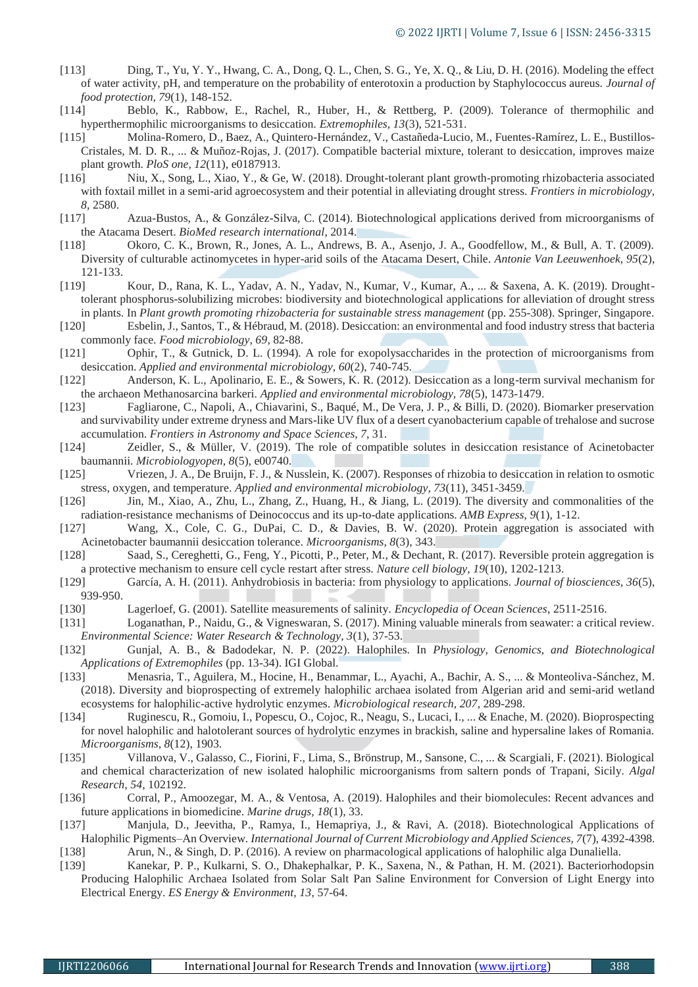- [113] Ding, T., Yu, Y. Y., Hwang, C. A., Dong, Q. L., Chen, S. G., Ye, X. Q., & Liu, D. H. (2016). Modeling the effect of water activity, pH, and temperature on the probability of enterotoxin a production by Staphylococcus aureus. *Journal of food protection, 79*(1), 148-152.
- [114] Beblo, K., Rabbow, E., Rachel, R., Huber, H., & Rettberg, P. (2009). Tolerance of thermophilic and hyperthermophilic microorganisms to desiccation. *Extremophiles, 13*(3), 521-531.
- [115] Molina-Romero, D., Baez, A., Quintero-Hernández, V., Castañeda-Lucio, M., Fuentes-Ramírez, L. E., Bustillos-Cristales, M. D. R., ... & Muñoz-Rojas, J. (2017). Compatible bacterial mixture, tolerant to desiccation, improves maize plant growth. *PloS one, 12*(11), e0187913.
- [116] Niu, X., Song, L., Xiao, Y., & Ge, W. (2018). Drought-tolerant plant growth-promoting rhizobacteria associated with foxtail millet in a semi-arid agroecosystem and their potential in alleviating drought stress. *Frontiers in microbiology, 8*, 2580.
- [117] Azua-Bustos, A., & González-Silva, C. (2014). Biotechnological applications derived from microorganisms of the Atacama Desert. *BioMed research international*, 2014.
- [118] Okoro, C. K., Brown, R., Jones, A. L., Andrews, B. A., Asenjo, J. A., Goodfellow, M., & Bull, A. T. (2009). Diversity of culturable actinomycetes in hyper-arid soils of the Atacama Desert, Chile. *Antonie Van Leeuwenhoek, 95*(2), 121-133.
- [119] Kour, D., Rana, K. L., Yadav, A. N., Yadav, N., Kumar, V., Kumar, A., ... & Saxena, A. K. (2019). Droughttolerant phosphorus-solubilizing microbes: biodiversity and biotechnological applications for alleviation of drought stress in plants. In *Plant growth promoting rhizobacteria for sustainable stress management* (pp. 255-308). Springer, Singapore.
- [120] Esbelin, J., Santos, T., & Hébraud, M. (2018). Desiccation: an environmental and food industry stress that bacteria commonly face. *Food microbiology, 69*, 82-88.
- [121] Ophir, T., & Gutnick, D. L. (1994). A role for exopolysaccharides in the protection of microorganisms from desiccation. *Applied and environmental microbiology, 60*(2), 740-745.
- [122] Anderson, K. L., Apolinario, E. E., & Sowers, K. R. (2012). Desiccation as a long-term survival mechanism for the archaeon Methanosarcina barkeri. *Applied and environmental microbiology, 78*(5), 1473-1479.
- [123] Fagliarone, C., Napoli, A., Chiavarini, S., Baqué, M., De Vera, J. P., & Billi, D. (2020). Biomarker preservation and survivability under extreme dryness and Mars-like UV flux of a desert cyanobacterium capable of trehalose and sucrose accumulation. *Frontiers in Astronomy and Space Sciences, 7*, 31.
- [124] Zeidler, S., & Müller, V. (2019). The role of compatible solutes in desiccation resistance of Acinetobacter baumannii. *Microbiologyopen, 8*(5), e00740.
- [125] Vriezen, J. A., De Bruijn, F. J., & Nusslein, K. (2007). Responses of rhizobia to desiccation in relation to osmotic stress, oxygen, and temperature. *Applied and environmental microbiology, 73*(11), 3451-3459.
- [126] Jin, M., Xiao, A., Zhu, L., Zhang, Z., Huang, H., & Jiang, L. (2019). The diversity and commonalities of the radiation-resistance mechanisms of Deinococcus and its up-to-date applications. *AMB Express, 9*(1), 1-12.
- [127] Wang, X., Cole, C. G., DuPai, C. D., & Davies, B. W. (2020). Protein aggregation is associated with Acinetobacter baumannii desiccation tolerance. *Microorganisms, 8*(3), 343.
- [128] Saad, S., Cereghetti, G., Feng, Y., Picotti, P., Peter, M., & Dechant, R. (2017). Reversible protein aggregation is a protective mechanism to ensure cell cycle restart after stress. *Nature cell biology, 19*(10), 1202-1213.
- [129] García, A. H. (2011). Anhydrobiosis in bacteria: from physiology to applications. *Journal of biosciences, 36*(5), 939-950.
- [130] Lagerloef, G. (2001). Satellite measurements of salinity. *Encyclopedia of Ocean Sciences*, 2511-2516.
- [131] Loganathan, P., Naidu, G., & Vigneswaran, S. (2017). Mining valuable minerals from seawater: a critical review. *Environmental Science: Water Research & Technology, 3*(1), 37-53.
- [132] Gunjal, A. B., & Badodekar, N. P. (2022). Halophiles. In *Physiology, Genomics, and Biotechnological Applications of Extremophiles* (pp. 13-34). IGI Global.
- [133] Menasria, T., Aguilera, M., Hocine, H., Benammar, L., Ayachi, A., Bachir, A. S., ... & Monteoliva-Sánchez, M. (2018). Diversity and bioprospecting of extremely halophilic archaea isolated from Algerian arid and semi-arid wetland ecosystems for halophilic-active hydrolytic enzymes. *Microbiological research, 207*, 289-298.
- [134] Ruginescu, R., Gomoiu, I., Popescu, O., Cojoc, R., Neagu, S., Lucaci, I., ... & Enache, M. (2020). Bioprospecting for novel halophilic and halotolerant sources of hydrolytic enzymes in brackish, saline and hypersaline lakes of Romania. *Microorganisms, 8*(12), 1903.
- [135] Villanova, V., Galasso, C., Fiorini, F., Lima, S., Brönstrup, M., Sansone, C., ... & Scargiali, F. (2021). Biological and chemical characterization of new isolated halophilic microorganisms from saltern ponds of Trapani, Sicily. *Algal Research, 54*, 102192.
- [136] Corral, P., Amoozegar, M. A., & Ventosa, A. (2019). Halophiles and their biomolecules: Recent advances and future applications in biomedicine. *Marine drugs, 18*(1), 33.
- [137] Manjula, D., Jeevitha, P., Ramya, I., Hemapriya, J., & Ravi, A. (2018). Biotechnological Applications of Halophilic Pigments–An Overview. *International Journal of Current Microbiology and Applied Sciences, 7*(7), 4392-4398.
- [138] Arun, N., & Singh, D. P. (2016). A review on pharmacological applications of halophilic alga Dunaliella.
- [139] Kanekar, P. P., Kulkarni, S. O., Dhakephalkar, P. K., Saxena, N., & Pathan, H. M. (2021). Bacteriorhodopsin Producing Halophilic Archaea Isolated from Solar Salt Pan Saline Environment for Conversion of Light Energy into Electrical Energy. *ES Energy & Environment, 13*, 57-64.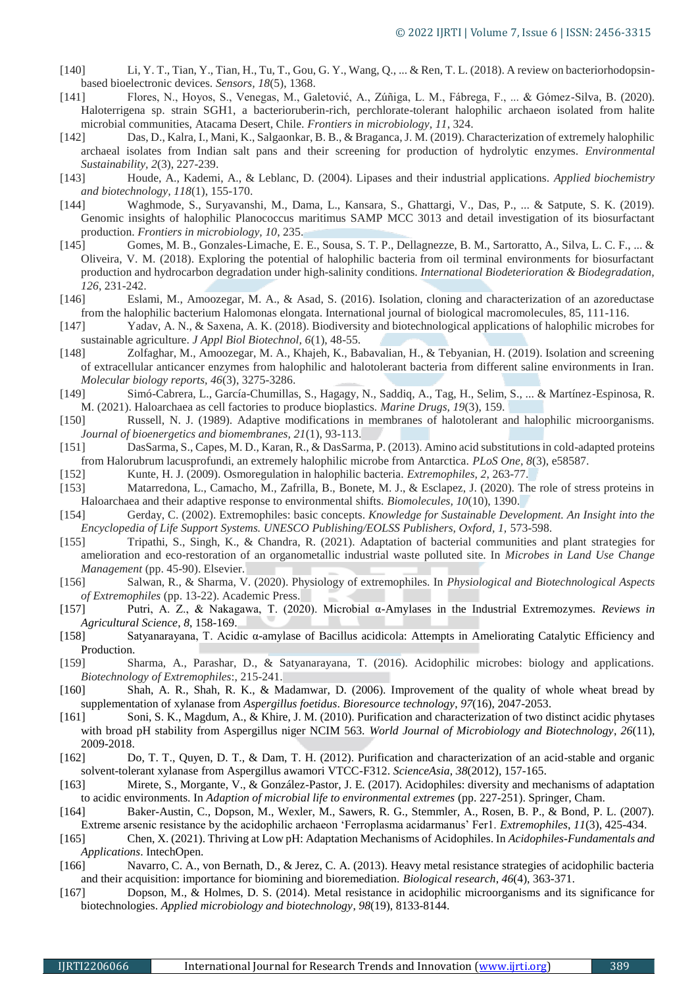- [140] Li, Y. T., Tian, Y., Tian, H., Tu, T., Gou, G. Y., Wang, Q., ... & Ren, T. L. (2018). A review on bacteriorhodopsinbased bioelectronic devices. *Sensors, 18*(5), 1368.
- [141] Flores, N., Hoyos, S., Venegas, M., Galetović, A., Zúñiga, L. M., Fábrega, F., ... & Gómez-Silva, B. (2020). Haloterrigena sp. strain SGH1, a bacterioruberin-rich, perchlorate-tolerant halophilic archaeon isolated from halite microbial communities, Atacama Desert, Chile. *Frontiers in microbiology, 11*, 324.
- [142] Das, D., Kalra, I., Mani, K., Salgaonkar, B. B., & Braganca, J. M. (2019). Characterization of extremely halophilic archaeal isolates from Indian salt pans and their screening for production of hydrolytic enzymes. *Environmental Sustainability, 2*(3), 227-239.
- [143] Houde, A., Kademi, A., & Leblanc, D. (2004). Lipases and their industrial applications. *Applied biochemistry and biotechnology, 118*(1), 155-170.
- [144] Waghmode, S., Suryavanshi, M., Dama, L., Kansara, S., Ghattargi, V., Das, P., ... & Satpute, S. K. (2019). Genomic insights of halophilic Planococcus maritimus SAMP MCC 3013 and detail investigation of its biosurfactant production. *Frontiers in microbiology, 10*, 235.
- [145] Gomes, M. B., Gonzales-Limache, E. E., Sousa, S. T. P., Dellagnezze, B. M., Sartoratto, A., Silva, L. C. F., ... & Oliveira, V. M. (2018). Exploring the potential of halophilic bacteria from oil terminal environments for biosurfactant production and hydrocarbon degradation under high-salinity conditions. *International Biodeterioration & Biodegradation, 126*, 231-242.
- [146] Eslami, M., Amoozegar, M. A., & Asad, S. (2016). Isolation, cloning and characterization of an azoreductase from the halophilic bacterium Halomonas elongata. International journal of biological macromolecules, 85, 111-116.
- [147] Yadav, A. N., & Saxena, A. K. (2018). Biodiversity and biotechnological applications of halophilic microbes for sustainable agriculture. *J Appl Biol Biotechnol, 6*(1), 48-55.
- [148] Zolfaghar, M., Amoozegar, M. A., Khajeh, K., Babavalian, H., & Tebyanian, H. (2019). Isolation and screening of extracellular anticancer enzymes from halophilic and halotolerant bacteria from different saline environments in Iran. *Molecular biology reports, 46*(3), 3275-3286.
- [149] Simó-Cabrera, L., García-Chumillas, S., Hagagy, N., Saddiq, A., Tag, H., Selim, S., ... & Martínez-Espinosa, R. M. (2021). Haloarchaea as cell factories to produce bioplastics. *Marine Drugs, 19*(3), 159.
- [150] Russell, N. J. (1989). Adaptive modifications in membranes of halotolerant and halophilic microorganisms. *Journal of bioenergetics and biomembranes, 21*(1), 93-113.
- [151] DasSarma, S., Capes, M. D., Karan, R., & DasSarma, P. (2013). Amino acid substitutions in cold-adapted proteins from Halorubrum lacusprofundi, an extremely halophilic microbe from Antarctica. *PLoS One, 8*(3), e58587.
- [152] Kunte, H. J. (2009). Osmoregulation in halophilic bacteria. *Extremophiles, 2*, 263-77.
- [153] Matarredona, L., Camacho, M., Zafrilla, B., Bonete, M. J., & Esclapez, J. (2020). The role of stress proteins in Haloarchaea and their adaptive response to environmental shifts. *Biomolecules, 10*(10), 1390.
- [154] Gerday, C. (2002). Extremophiles: basic concepts. *Knowledge for Sustainable Development. An Insight into the Encyclopedia of Life Support Systems. UNESCO Publishing/EOLSS Publishers, Oxford, 1,* 573-598.
- [155] Tripathi, S., Singh, K., & Chandra, R. (2021). Adaptation of bacterial communities and plant strategies for amelioration and eco-restoration of an organometallic industrial waste polluted site. In *Microbes in Land Use Change Management* (pp. 45-90). Elsevier.
- [156] Salwan, R., & Sharma, V. (2020). Physiology of extremophiles. In *Physiological and Biotechnological Aspects of Extremophiles* (pp. 13-22). Academic Press.
- [157] Putri, A. Z., & Nakagawa, T. (2020). Microbial α-Amylases in the Industrial Extremozymes. *Reviews in Agricultural Science*, *8*, 158-169.
- [158] Satyanarayana, T. Acidic α-amylase of Bacillus acidicola: Attempts in Ameliorating Catalytic Efficiency and Production.
- [159] Sharma, A., Parashar, D., & Satyanarayana, T. (2016). Acidophilic microbes: biology and applications. *Biotechnology of Extremophiles*:, 215-241.
- [160] Shah, A. R., Shah, R. K., & Madamwar, D. (2006). Improvement of the quality of whole wheat bread by supplementation of xylanase from *Aspergillus foetidus*. *Bioresource technology*, *97*(16), 2047-2053.
- [161] Soni, S. K., Magdum, A., & Khire, J. M. (2010). Purification and characterization of two distinct acidic phytases with broad pH stability from Aspergillus niger NCIM 563. *World Journal of Microbiology and Biotechnology*, *26*(11), 2009-2018.
- [162] Do, T. T., Quyen, D. T., & Dam, T. H. (2012). Purification and characterization of an acid-stable and organic solvent-tolerant xylanase from Aspergillus awamori VTCC-F312. *ScienceAsia*, *38*(2012), 157-165.
- [163] Mirete, S., Morgante, V., & González-Pastor, J. E. (2017). Acidophiles: diversity and mechanisms of adaptation to acidic environments. In *Adaption of microbial life to environmental extremes* (pp. 227-251). Springer, Cham.
- [164] Baker-Austin, C., Dopson, M., Wexler, M., Sawers, R. G., Stemmler, A., Rosen, B. P., & Bond, P. L. (2007). Extreme arsenic resistance by the acidophilic archaeon 'Ferroplasma acidarmanus' Fer1. *Extremophiles*, *11*(3), 425-434.
- [165] Chen, X. (2021). Thriving at Low pH: Adaptation Mechanisms of Acidophiles. In *Acidophiles-Fundamentals and Applications*. IntechOpen.
- [166] Navarro, C. A., von Bernath, D., & Jerez, C. A. (2013). Heavy metal resistance strategies of acidophilic bacteria and their acquisition: importance for biomining and bioremediation. *Biological research*, *46*(4), 363-371.
- [167] Dopson, M., & Holmes, D. S. (2014). Metal resistance in acidophilic microorganisms and its significance for biotechnologies. *Applied microbiology and biotechnology*, *98*(19), 8133-8144.